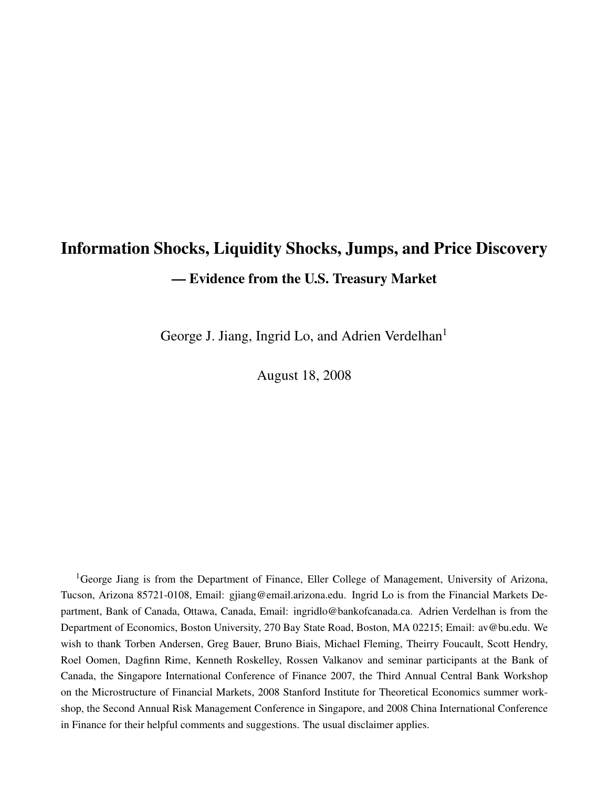# Information Shocks, Liquidity Shocks, Jumps, and Price Discovery — Evidence from the U.S. Treasury Market

George J. Jiang, Ingrid Lo, and Adrien Verdelhan<sup>1</sup>

August 18, 2008

<sup>1</sup>George Jiang is from the Department of Finance, Eller College of Management, University of Arizona, Tucson, Arizona 85721-0108, Email: gjiang@email.arizona.edu. Ingrid Lo is from the Financial Markets Department, Bank of Canada, Ottawa, Canada, Email: ingridlo@bankofcanada.ca. Adrien Verdelhan is from the Department of Economics, Boston University, 270 Bay State Road, Boston, MA 02215; Email: av@bu.edu. We wish to thank Torben Andersen, Greg Bauer, Bruno Biais, Michael Fleming, Theirry Foucault, Scott Hendry, Roel Oomen, Dagfinn Rime, Kenneth Roskelley, Rossen Valkanov and seminar participants at the Bank of Canada, the Singapore International Conference of Finance 2007, the Third Annual Central Bank Workshop on the Microstructure of Financial Markets, 2008 Stanford Institute for Theoretical Economics summer workshop, the Second Annual Risk Management Conference in Singapore, and 2008 China International Conference in Finance for their helpful comments and suggestions. The usual disclaimer applies.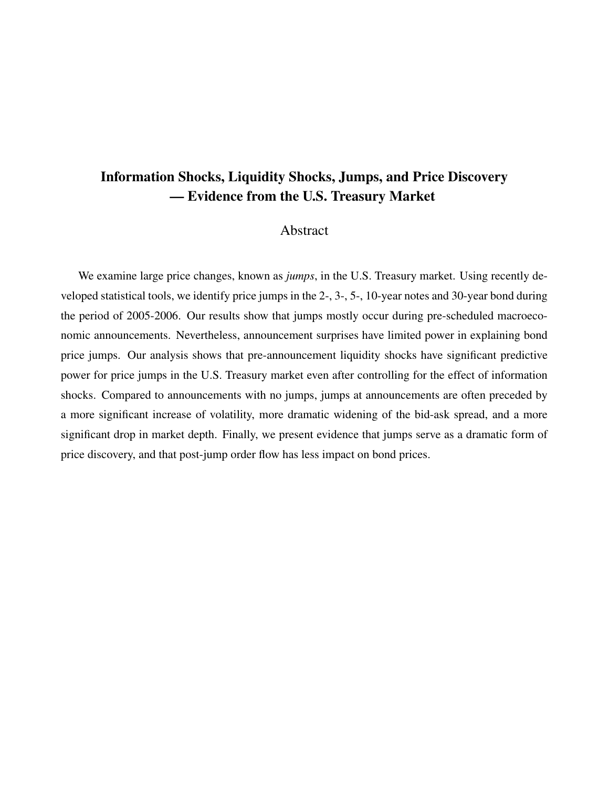# Information Shocks, Liquidity Shocks, Jumps, and Price Discovery — Evidence from the U.S. Treasury Market

# Abstract

We examine large price changes, known as *jumps*, in the U.S. Treasury market. Using recently developed statistical tools, we identify price jumps in the 2-, 3-, 5-, 10-year notes and 30-year bond during the period of 2005-2006. Our results show that jumps mostly occur during pre-scheduled macroeconomic announcements. Nevertheless, announcement surprises have limited power in explaining bond price jumps. Our analysis shows that pre-announcement liquidity shocks have significant predictive power for price jumps in the U.S. Treasury market even after controlling for the effect of information shocks. Compared to announcements with no jumps, jumps at announcements are often preceded by a more significant increase of volatility, more dramatic widening of the bid-ask spread, and a more significant drop in market depth. Finally, we present evidence that jumps serve as a dramatic form of price discovery, and that post-jump order flow has less impact on bond prices.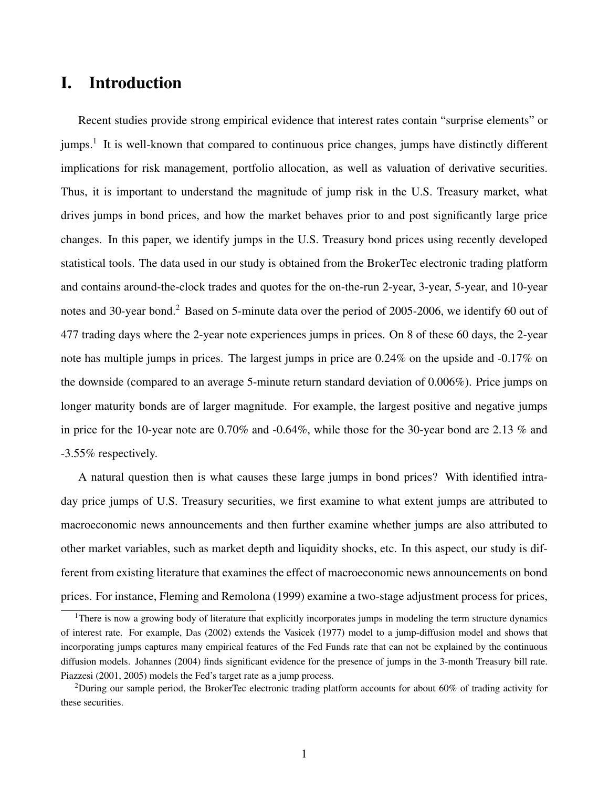# I. Introduction

Recent studies provide strong empirical evidence that interest rates contain "surprise elements" or jumps.<sup>1</sup> It is well-known that compared to continuous price changes, jumps have distinctly different implications for risk management, portfolio allocation, as well as valuation of derivative securities. Thus, it is important to understand the magnitude of jump risk in the U.S. Treasury market, what drives jumps in bond prices, and how the market behaves prior to and post significantly large price changes. In this paper, we identify jumps in the U.S. Treasury bond prices using recently developed statistical tools. The data used in our study is obtained from the BrokerTec electronic trading platform and contains around-the-clock trades and quotes for the on-the-run 2-year, 3-year, 5-year, and 10-year notes and 30-year bond.<sup>2</sup> Based on 5-minute data over the period of 2005-2006, we identify 60 out of 477 trading days where the 2-year note experiences jumps in prices. On 8 of these 60 days, the 2-year note has multiple jumps in prices. The largest jumps in price are 0.24% on the upside and -0.17% on the downside (compared to an average 5-minute return standard deviation of 0.006%). Price jumps on longer maturity bonds are of larger magnitude. For example, the largest positive and negative jumps in price for the 10-year note are 0.70% and -0.64%, while those for the 30-year bond are 2.13 % and -3.55% respectively.

A natural question then is what causes these large jumps in bond prices? With identified intraday price jumps of U.S. Treasury securities, we first examine to what extent jumps are attributed to macroeconomic news announcements and then further examine whether jumps are also attributed to other market variables, such as market depth and liquidity shocks, etc. In this aspect, our study is different from existing literature that examines the effect of macroeconomic news announcements on bond prices. For instance, Fleming and Remolona (1999) examine a two-stage adjustment process for prices,

<sup>&</sup>lt;sup>1</sup>There is now a growing body of literature that explicitly incorporates jumps in modeling the term structure dynamics of interest rate. For example, Das (2002) extends the Vasicek (1977) model to a jump-diffusion model and shows that incorporating jumps captures many empirical features of the Fed Funds rate that can not be explained by the continuous diffusion models. Johannes (2004) finds significant evidence for the presence of jumps in the 3-month Treasury bill rate. Piazzesi (2001, 2005) models the Fed's target rate as a jump process.

<sup>2</sup>During our sample period, the BrokerTec electronic trading platform accounts for about 60% of trading activity for these securities.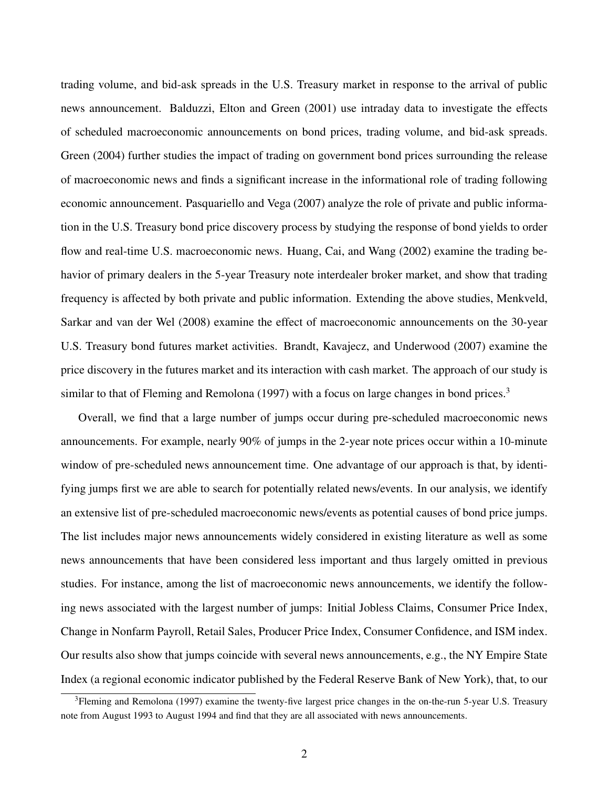trading volume, and bid-ask spreads in the U.S. Treasury market in response to the arrival of public news announcement. Balduzzi, Elton and Green (2001) use intraday data to investigate the effects of scheduled macroeconomic announcements on bond prices, trading volume, and bid-ask spreads. Green (2004) further studies the impact of trading on government bond prices surrounding the release of macroeconomic news and finds a significant increase in the informational role of trading following economic announcement. Pasquariello and Vega (2007) analyze the role of private and public information in the U.S. Treasury bond price discovery process by studying the response of bond yields to order flow and real-time U.S. macroeconomic news. Huang, Cai, and Wang (2002) examine the trading behavior of primary dealers in the 5-year Treasury note interdealer broker market, and show that trading frequency is affected by both private and public information. Extending the above studies, Menkveld, Sarkar and van der Wel (2008) examine the effect of macroeconomic announcements on the 30-year U.S. Treasury bond futures market activities. Brandt, Kavajecz, and Underwood (2007) examine the price discovery in the futures market and its interaction with cash market. The approach of our study is similar to that of Fleming and Remolona (1997) with a focus on large changes in bond prices.<sup>3</sup>

Overall, we find that a large number of jumps occur during pre-scheduled macroeconomic news announcements. For example, nearly 90% of jumps in the 2-year note prices occur within a 10-minute window of pre-scheduled news announcement time. One advantage of our approach is that, by identifying jumps first we are able to search for potentially related news/events. In our analysis, we identify an extensive list of pre-scheduled macroeconomic news/events as potential causes of bond price jumps. The list includes major news announcements widely considered in existing literature as well as some news announcements that have been considered less important and thus largely omitted in previous studies. For instance, among the list of macroeconomic news announcements, we identify the following news associated with the largest number of jumps: Initial Jobless Claims, Consumer Price Index, Change in Nonfarm Payroll, Retail Sales, Producer Price Index, Consumer Confidence, and ISM index. Our results also show that jumps coincide with several news announcements, e.g., the NY Empire State Index (a regional economic indicator published by the Federal Reserve Bank of New York), that, to our

<sup>&</sup>lt;sup>3</sup>Fleming and Remolona (1997) examine the twenty-five largest price changes in the on-the-run 5-year U.S. Treasury note from August 1993 to August 1994 and find that they are all associated with news announcements.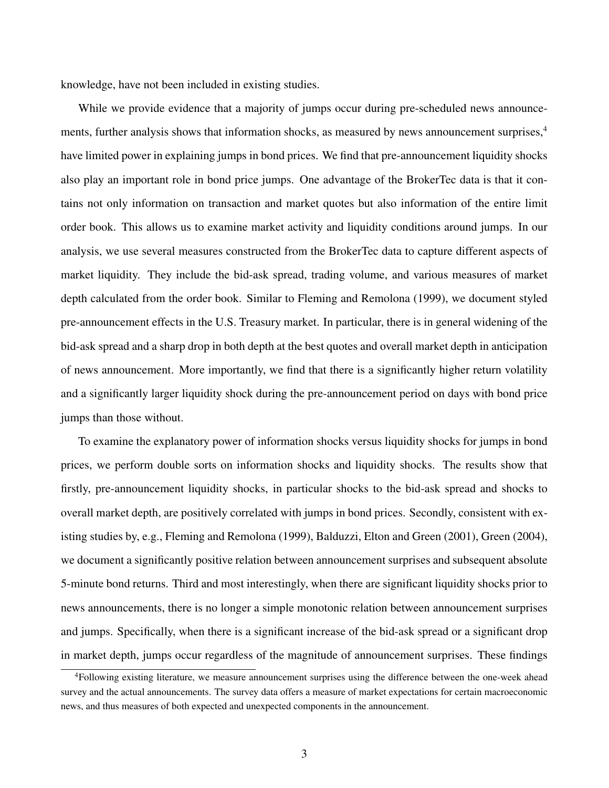knowledge, have not been included in existing studies.

While we provide evidence that a majority of jumps occur during pre-scheduled news announcements, further analysis shows that information shocks, as measured by news announcement surprises,<sup>4</sup> have limited power in explaining jumps in bond prices. We find that pre-announcement liquidity shocks also play an important role in bond price jumps. One advantage of the BrokerTec data is that it contains not only information on transaction and market quotes but also information of the entire limit order book. This allows us to examine market activity and liquidity conditions around jumps. In our analysis, we use several measures constructed from the BrokerTec data to capture different aspects of market liquidity. They include the bid-ask spread, trading volume, and various measures of market depth calculated from the order book. Similar to Fleming and Remolona (1999), we document styled pre-announcement effects in the U.S. Treasury market. In particular, there is in general widening of the bid-ask spread and a sharp drop in both depth at the best quotes and overall market depth in anticipation of news announcement. More importantly, we find that there is a significantly higher return volatility and a significantly larger liquidity shock during the pre-announcement period on days with bond price jumps than those without.

To examine the explanatory power of information shocks versus liquidity shocks for jumps in bond prices, we perform double sorts on information shocks and liquidity shocks. The results show that firstly, pre-announcement liquidity shocks, in particular shocks to the bid-ask spread and shocks to overall market depth, are positively correlated with jumps in bond prices. Secondly, consistent with existing studies by, e.g., Fleming and Remolona (1999), Balduzzi, Elton and Green (2001), Green (2004), we document a significantly positive relation between announcement surprises and subsequent absolute 5-minute bond returns. Third and most interestingly, when there are significant liquidity shocks prior to news announcements, there is no longer a simple monotonic relation between announcement surprises and jumps. Specifically, when there is a significant increase of the bid-ask spread or a significant drop in market depth, jumps occur regardless of the magnitude of announcement surprises. These findings

<sup>4</sup>Following existing literature, we measure announcement surprises using the difference between the one-week ahead survey and the actual announcements. The survey data offers a measure of market expectations for certain macroeconomic news, and thus measures of both expected and unexpected components in the announcement.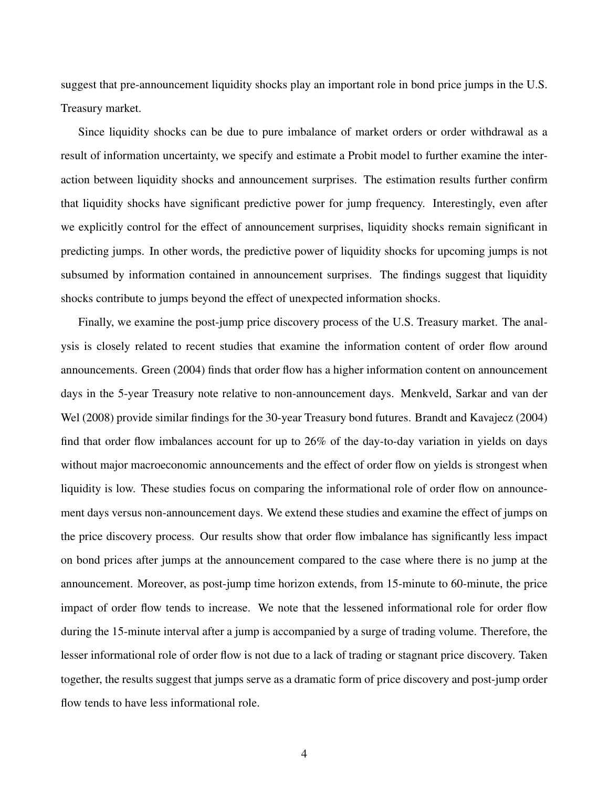suggest that pre-announcement liquidity shocks play an important role in bond price jumps in the U.S. Treasury market.

Since liquidity shocks can be due to pure imbalance of market orders or order withdrawal as a result of information uncertainty, we specify and estimate a Probit model to further examine the interaction between liquidity shocks and announcement surprises. The estimation results further confirm that liquidity shocks have significant predictive power for jump frequency. Interestingly, even after we explicitly control for the effect of announcement surprises, liquidity shocks remain significant in predicting jumps. In other words, the predictive power of liquidity shocks for upcoming jumps is not subsumed by information contained in announcement surprises. The findings suggest that liquidity shocks contribute to jumps beyond the effect of unexpected information shocks.

Finally, we examine the post-jump price discovery process of the U.S. Treasury market. The analysis is closely related to recent studies that examine the information content of order flow around announcements. Green (2004) finds that order flow has a higher information content on announcement days in the 5-year Treasury note relative to non-announcement days. Menkveld, Sarkar and van der Wel (2008) provide similar findings for the 30-year Treasury bond futures. Brandt and Kavajecz (2004) find that order flow imbalances account for up to 26% of the day-to-day variation in yields on days without major macroeconomic announcements and the effect of order flow on yields is strongest when liquidity is low. These studies focus on comparing the informational role of order flow on announcement days versus non-announcement days. We extend these studies and examine the effect of jumps on the price discovery process. Our results show that order flow imbalance has significantly less impact on bond prices after jumps at the announcement compared to the case where there is no jump at the announcement. Moreover, as post-jump time horizon extends, from 15-minute to 60-minute, the price impact of order flow tends to increase. We note that the lessened informational role for order flow during the 15-minute interval after a jump is accompanied by a surge of trading volume. Therefore, the lesser informational role of order flow is not due to a lack of trading or stagnant price discovery. Taken together, the results suggest that jumps serve as a dramatic form of price discovery and post-jump order flow tends to have less informational role.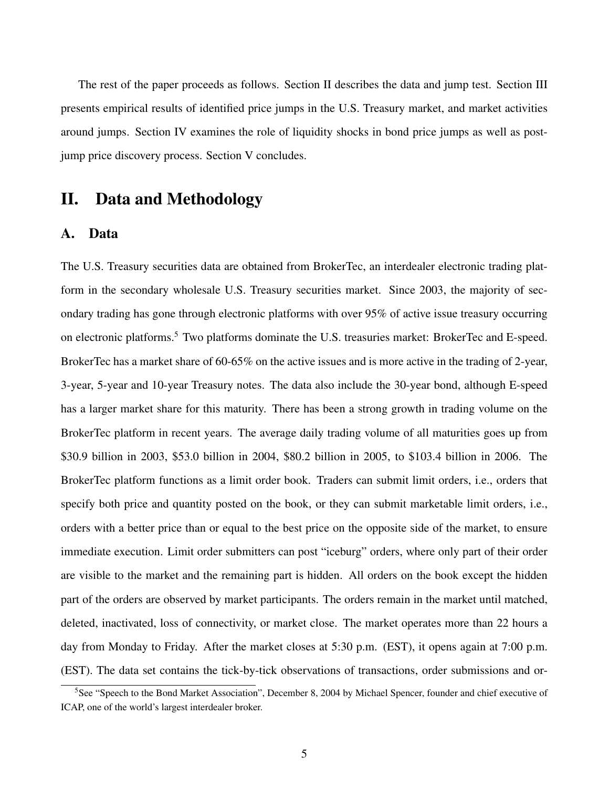The rest of the paper proceeds as follows. Section II describes the data and jump test. Section III presents empirical results of identified price jumps in the U.S. Treasury market, and market activities around jumps. Section IV examines the role of liquidity shocks in bond price jumps as well as postjump price discovery process. Section V concludes.

# II. Data and Methodology

#### A. Data

The U.S. Treasury securities data are obtained from BrokerTec, an interdealer electronic trading platform in the secondary wholesale U.S. Treasury securities market. Since 2003, the majority of secondary trading has gone through electronic platforms with over 95% of active issue treasury occurring on electronic platforms.<sup>5</sup> Two platforms dominate the U.S. treasuries market: BrokerTec and E-speed. BrokerTec has a market share of 60-65% on the active issues and is more active in the trading of 2-year, 3-year, 5-year and 10-year Treasury notes. The data also include the 30-year bond, although E-speed has a larger market share for this maturity. There has been a strong growth in trading volume on the BrokerTec platform in recent years. The average daily trading volume of all maturities goes up from \$30.9 billion in 2003, \$53.0 billion in 2004, \$80.2 billion in 2005, to \$103.4 billion in 2006. The BrokerTec platform functions as a limit order book. Traders can submit limit orders, i.e., orders that specify both price and quantity posted on the book, or they can submit marketable limit orders, i.e., orders with a better price than or equal to the best price on the opposite side of the market, to ensure immediate execution. Limit order submitters can post "iceburg" orders, where only part of their order are visible to the market and the remaining part is hidden. All orders on the book except the hidden part of the orders are observed by market participants. The orders remain in the market until matched, deleted, inactivated, loss of connectivity, or market close. The market operates more than 22 hours a day from Monday to Friday. After the market closes at 5:30 p.m. (EST), it opens again at 7:00 p.m. (EST). The data set contains the tick-by-tick observations of transactions, order submissions and or-

<sup>5</sup>See "Speech to the Bond Market Association", December 8, 2004 by Michael Spencer, founder and chief executive of ICAP, one of the world's largest interdealer broker.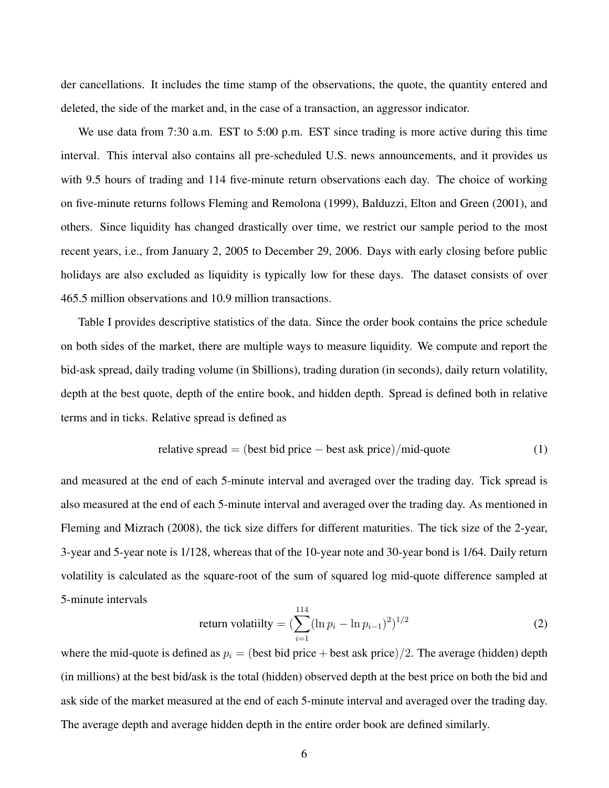der cancellations. It includes the time stamp of the observations, the quote, the quantity entered and deleted, the side of the market and, in the case of a transaction, an aggressor indicator.

We use data from 7:30 a.m. EST to 5:00 p.m. EST since trading is more active during this time interval. This interval also contains all pre-scheduled U.S. news announcements, and it provides us with 9.5 hours of trading and 114 five-minute return observations each day. The choice of working on five-minute returns follows Fleming and Remolona (1999), Balduzzi, Elton and Green (2001), and others. Since liquidity has changed drastically over time, we restrict our sample period to the most recent years, i.e., from January 2, 2005 to December 29, 2006. Days with early closing before public holidays are also excluded as liquidity is typically low for these days. The dataset consists of over 465.5 million observations and 10.9 million transactions.

Table I provides descriptive statistics of the data. Since the order book contains the price schedule on both sides of the market, there are multiple ways to measure liquidity. We compute and report the bid-ask spread, daily trading volume (in \$billions), trading duration (in seconds), daily return volatility, depth at the best quote, depth of the entire book, and hidden depth. Spread is defined both in relative terms and in ticks. Relative spread is defined as

relative spread = (best bid price – best ask price)/mid-quote 
$$
(1)
$$

and measured at the end of each 5-minute interval and averaged over the trading day. Tick spread is also measured at the end of each 5-minute interval and averaged over the trading day. As mentioned in Fleming and Mizrach (2008), the tick size differs for different maturities. The tick size of the 2-year, 3-year and 5-year note is 1/128, whereas that of the 10-year note and 30-year bond is 1/64. Daily return volatility is calculated as the square-root of the sum of squared log mid-quote difference sampled at 5-minute intervals

return volatility = 
$$
\left(\sum_{i=1}^{114} (\ln p_i - \ln p_{i-1})^2\right)^{1/2}
$$
 (2)

where the mid-quote is defined as  $p_i = (best bid price + best ask price)/2$ . The average (hidden) depth (in millions) at the best bid/ask is the total (hidden) observed depth at the best price on both the bid and ask side of the market measured at the end of each 5-minute interval and averaged over the trading day. The average depth and average hidden depth in the entire order book are defined similarly.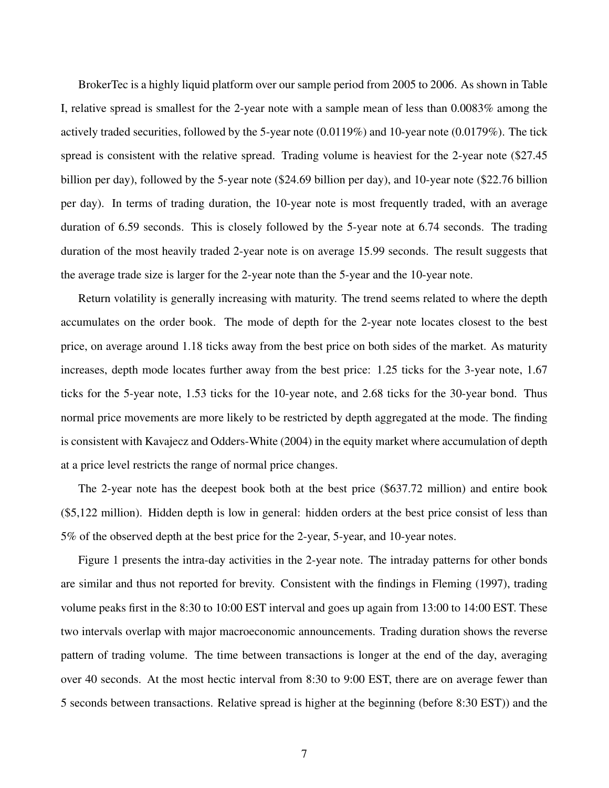BrokerTec is a highly liquid platform over our sample period from 2005 to 2006. As shown in Table I, relative spread is smallest for the 2-year note with a sample mean of less than 0.0083% among the actively traded securities, followed by the 5-year note (0.0119%) and 10-year note (0.0179%). The tick spread is consistent with the relative spread. Trading volume is heaviest for the 2-year note (\$27.45 billion per day), followed by the 5-year note (\$24.69 billion per day), and 10-year note (\$22.76 billion per day). In terms of trading duration, the 10-year note is most frequently traded, with an average duration of 6.59 seconds. This is closely followed by the 5-year note at 6.74 seconds. The trading duration of the most heavily traded 2-year note is on average 15.99 seconds. The result suggests that the average trade size is larger for the 2-year note than the 5-year and the 10-year note.

Return volatility is generally increasing with maturity. The trend seems related to where the depth accumulates on the order book. The mode of depth for the 2-year note locates closest to the best price, on average around 1.18 ticks away from the best price on both sides of the market. As maturity increases, depth mode locates further away from the best price: 1.25 ticks for the 3-year note, 1.67 ticks for the 5-year note, 1.53 ticks for the 10-year note, and 2.68 ticks for the 30-year bond. Thus normal price movements are more likely to be restricted by depth aggregated at the mode. The finding is consistent with Kavajecz and Odders-White (2004) in the equity market where accumulation of depth at a price level restricts the range of normal price changes.

The 2-year note has the deepest book both at the best price (\$637.72 million) and entire book (\$5,122 million). Hidden depth is low in general: hidden orders at the best price consist of less than 5% of the observed depth at the best price for the 2-year, 5-year, and 10-year notes.

Figure 1 presents the intra-day activities in the 2-year note. The intraday patterns for other bonds are similar and thus not reported for brevity. Consistent with the findings in Fleming (1997), trading volume peaks first in the 8:30 to 10:00 EST interval and goes up again from 13:00 to 14:00 EST. These two intervals overlap with major macroeconomic announcements. Trading duration shows the reverse pattern of trading volume. The time between transactions is longer at the end of the day, averaging over 40 seconds. At the most hectic interval from 8:30 to 9:00 EST, there are on average fewer than 5 seconds between transactions. Relative spread is higher at the beginning (before 8:30 EST)) and the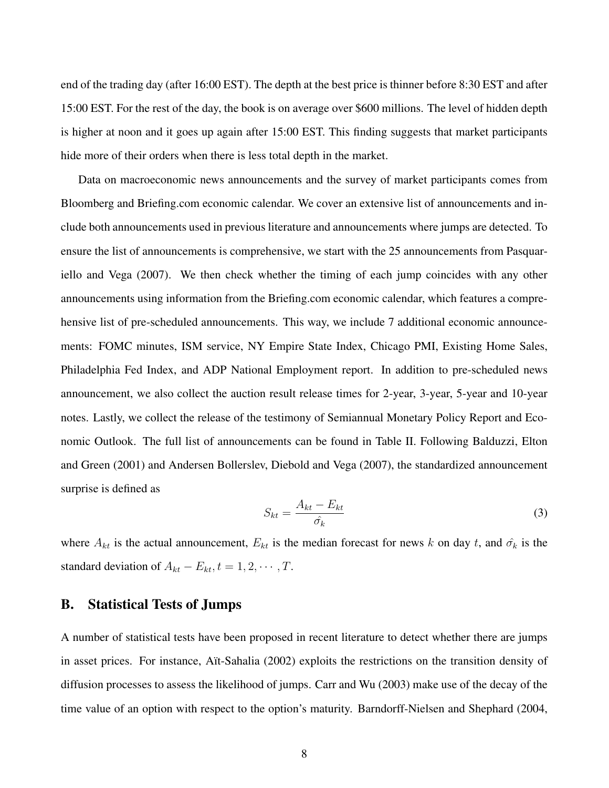end of the trading day (after 16:00 EST). The depth at the best price is thinner before 8:30 EST and after 15:00 EST. For the rest of the day, the book is on average over \$600 millions. The level of hidden depth is higher at noon and it goes up again after 15:00 EST. This finding suggests that market participants hide more of their orders when there is less total depth in the market.

Data on macroeconomic news announcements and the survey of market participants comes from Bloomberg and Briefing.com economic calendar. We cover an extensive list of announcements and include both announcements used in previous literature and announcements where jumps are detected. To ensure the list of announcements is comprehensive, we start with the 25 announcements from Pasquariello and Vega (2007). We then check whether the timing of each jump coincides with any other announcements using information from the Briefing.com economic calendar, which features a comprehensive list of pre-scheduled announcements. This way, we include 7 additional economic announcements: FOMC minutes, ISM service, NY Empire State Index, Chicago PMI, Existing Home Sales, Philadelphia Fed Index, and ADP National Employment report. In addition to pre-scheduled news announcement, we also collect the auction result release times for 2-year, 3-year, 5-year and 10-year notes. Lastly, we collect the release of the testimony of Semiannual Monetary Policy Report and Economic Outlook. The full list of announcements can be found in Table II. Following Balduzzi, Elton and Green (2001) and Andersen Bollerslev, Diebold and Vega (2007), the standardized announcement surprise is defined as

$$
S_{kt} = \frac{A_{kt} - E_{kt}}{\hat{\sigma_k}}
$$
\n(3)

where  $A_{kt}$  is the actual announcement,  $E_{kt}$  is the median forecast for news k on day t, and  $\hat{\sigma_k}$  is the standard deviation of  $A_{kt} - E_{kt}$ ,  $t = 1, 2, \cdots, T$ .

# B. Statistical Tests of Jumps

A number of statistical tests have been proposed in recent literature to detect whether there are jumps in asset prices. For instance, Aït-Sahalia (2002) exploits the restrictions on the transition density of diffusion processes to assess the likelihood of jumps. Carr and Wu (2003) make use of the decay of the time value of an option with respect to the option's maturity. Barndorff-Nielsen and Shephard (2004,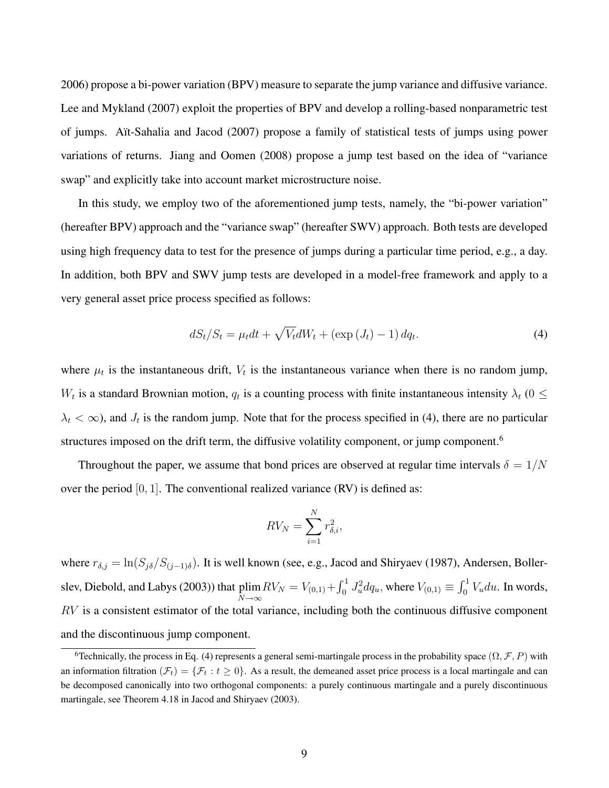2006) propose a bi-power variation (BPV) measure to separate the jump variance and diffusive variance. Lee and Mykland (2007) exploit the properties of BPV and develop a rolling-based nonparametric test of jumps. Aït-Sahalia and Jacod (2007) propose a family of statistical tests of jumps using power variations of returns. Jiang and Oomen (2008) propose a jump test based on the idea of "variance swap" and explicitly take into account market microstructure noise.

In this study, we employ two of the aforementioned jump tests, namely, the "bi-power variation" (hereafter BPV) approach and the "variance swap" (hereafter SWV) approach. Both tests are developed using high frequency data to test for the presence of jumps during a particular time period, e.g., a day. In addition, both BPV and SWV jump tests are developed in a model-free framework and apply to a very general asset price process specified as follows:

$$
dS_t/S_t = \mu_t dt + \sqrt{V_t} dW_t + \left(\exp\left(J_t\right) - 1\right) dq_t.
$$
\n(4)

where  $\mu_t$  is the instantaneous drift,  $V_t$  is the instantaneous variance when there is no random jump,  $W_t$  is a standard Brownian motion,  $q_t$  is a counting process with finite instantaneous intensity  $\lambda_t$  (0  $\leq$  $\lambda_t < \infty$ ), and  $J_t$  is the random jump. Note that for the process specified in (4), there are no particular structures imposed on the drift term, the diffusive volatility component, or jump component.<sup>6</sup>

Throughout the paper, we assume that bond prices are observed at regular time intervals  $\delta = 1/N$ over the period  $[0, 1]$ . The conventional realized variance  $(RV)$  is defined as:

$$
RV_N = \sum_{i=1}^N r_{\delta,i}^2,
$$

where  $r_{\delta,j} = \ln(S_{j\delta}/S_{(j-1)\delta})$ . It is well known (see, e.g., Jacod and Shiryaev (1987), Andersen, Bollerslev, Diebold, and Labys (2003)) that plim  $N\rightarrow\infty$  $RV_N = V_{(0,1)} +$  $r<sup>1</sup>$  $\int_0^1 J_u^2 dq_u$ , where  $V_{(0,1)} \equiv$  $r<sup>1</sup>$  $\int_0^1 V_u du$ . In words,  $RV$  is a consistent estimator of the total variance, including both the continuous diffusive component and the discontinuous jump component.

<sup>&</sup>lt;sup>6</sup>Technically, the process in Eq. (4) represents a general semi-martingale process in the probability space  $(\Omega, \mathcal{F}, P)$  with an information filtration  $(\mathcal{F}_t) = {\mathcal{F}_t : t \geq 0}$ . As a result, the demeaned asset price process is a local martingale and can be decomposed canonically into two orthogonal components: a purely continuous martingale and a purely discontinuous martingale, see Theorem 4.18 in Jacod and Shiryaev (2003).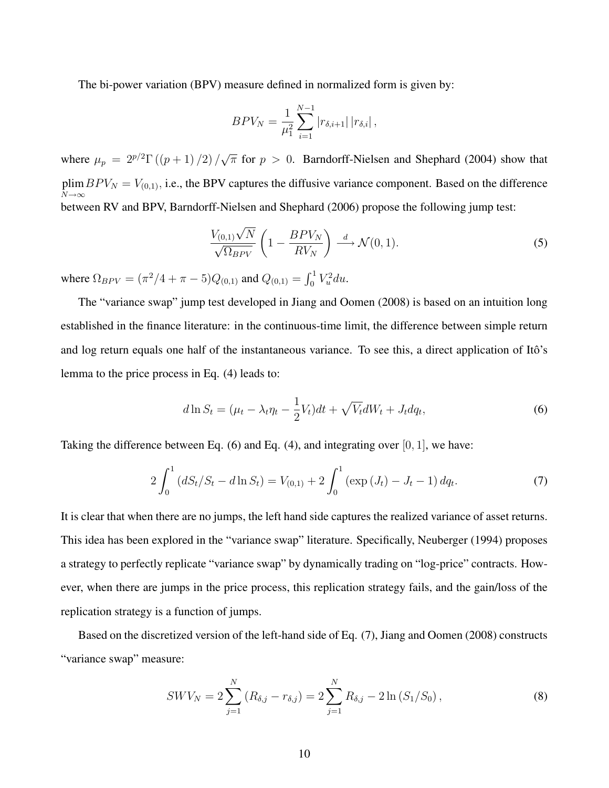The bi-power variation (BPV) measure defined in normalized form is given by:

$$
BPV_N = \frac{1}{\mu_1^2} \sum_{i=1}^{N-1} |r_{\delta,i+1}| |r_{\delta,i}|,
$$

where  $\mu_p = 2^{p/2} \Gamma((p+1)/2) / \sqrt{2}$  $\overline{\pi}$  for  $p > 0$ . Barndorff-Nielsen and Shephard (2004) show that plim  $N\rightarrow\infty$  $BPV_N = V_{(0,1)}$ , i.e., the BPV captures the diffusive variance component. Based on the difference between RV and BPV, Barndorff-Nielsen and Shephard (2006) propose the following jump test:

$$
\frac{V_{(0,1)}\sqrt{N}}{\sqrt{\Omega_{BPV}}} \left(1 - \frac{BPV_N}{RV_N}\right) \stackrel{d}{\longrightarrow} \mathcal{N}(0,1).
$$
\n(5)

where  $\Omega_{BPV} = (\pi^2/4 + \pi - 5)Q_{(0,1)}$  and  $Q_{(0,1)} =$  $r<sup>1</sup>$  $\int_0^1 V_u^2 du.$ 

The "variance swap" jump test developed in Jiang and Oomen (2008) is based on an intuition long established in the finance literature: in the continuous-time limit, the difference between simple return and log return equals one half of the instantaneous variance. To see this, a direct application of Itô's lemma to the price process in Eq. (4) leads to:

$$
d\ln S_t = (\mu_t - \lambda_t \eta_t - \frac{1}{2}V_t)dt + \sqrt{V_t}dW_t + J_t dq_t,
$$
\n(6)

Taking the difference between Eq.  $(6)$  and Eq.  $(4)$ , and integrating over  $[0, 1]$ , we have:

$$
2\int_0^1 (dS_t/S_t - d\ln S_t) = V_{(0,1)} + 2\int_0^1 (\exp(J_t) - J_t - 1) \, dq_t.
$$
 (7)

It is clear that when there are no jumps, the left hand side captures the realized variance of asset returns. This idea has been explored in the "variance swap" literature. Specifically, Neuberger (1994) proposes a strategy to perfectly replicate "variance swap" by dynamically trading on "log-price" contracts. However, when there are jumps in the price process, this replication strategy fails, and the gain/loss of the replication strategy is a function of jumps.

Based on the discretized version of the left-hand side of Eq. (7), Jiang and Oomen (2008) constructs "variance swap" measure:

$$
SWV_N = 2\sum_{j=1}^N (R_{\delta,j} - r_{\delta,j}) = 2\sum_{j=1}^N R_{\delta,j} - 2\ln(S_1/S_0),
$$
\n(8)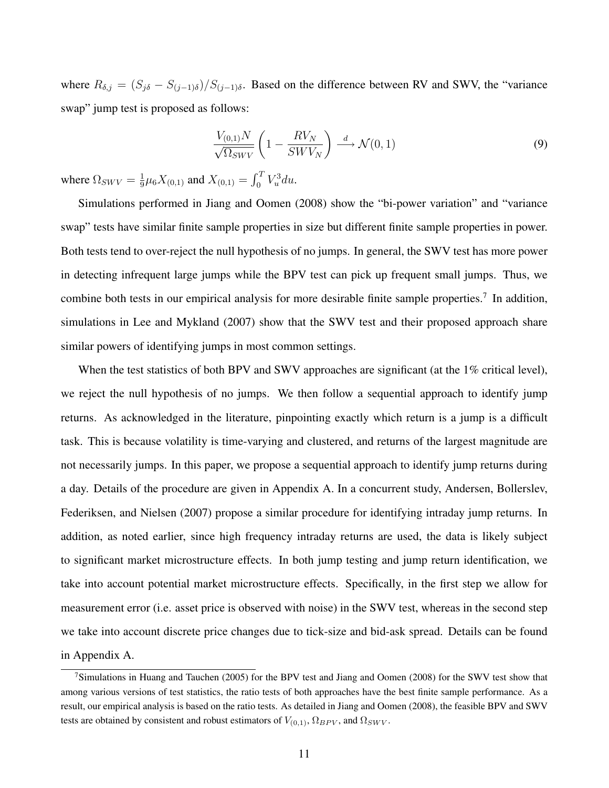where  $R_{\delta,j} = (S_{j\delta} - S_{(j-1)\delta})/S_{(j-1)\delta}$ . Based on the difference between RV and SWV, the "variance" swap" jump test is proposed as follows:

$$
\frac{V_{(0,1)}N}{\sqrt{\Omega_{SWV}}} \left(1 - \frac{RV_N}{SWV_N}\right) \stackrel{d}{\longrightarrow} \mathcal{N}(0,1)
$$
\n(9)

where  $\Omega_{SWV} = \frac{1}{9}$  $\frac{1}{9}\mu_6 X_{(0,1)}$  and  $X_{(0,1)} =$  $r^T$  $\int_0^T V_u^3 du.$ 

Simulations performed in Jiang and Oomen (2008) show the "bi-power variation" and "variance swap" tests have similar finite sample properties in size but different finite sample properties in power. Both tests tend to over-reject the null hypothesis of no jumps. In general, the SWV test has more power in detecting infrequent large jumps while the BPV test can pick up frequent small jumps. Thus, we combine both tests in our empirical analysis for more desirable finite sample properties.<sup>7</sup> In addition, simulations in Lee and Mykland (2007) show that the SWV test and their proposed approach share similar powers of identifying jumps in most common settings.

When the test statistics of both BPV and SWV approaches are significant (at the 1% critical level), we reject the null hypothesis of no jumps. We then follow a sequential approach to identify jump returns. As acknowledged in the literature, pinpointing exactly which return is a jump is a difficult task. This is because volatility is time-varying and clustered, and returns of the largest magnitude are not necessarily jumps. In this paper, we propose a sequential approach to identify jump returns during a day. Details of the procedure are given in Appendix A. In a concurrent study, Andersen, Bollerslev, Federiksen, and Nielsen (2007) propose a similar procedure for identifying intraday jump returns. In addition, as noted earlier, since high frequency intraday returns are used, the data is likely subject to significant market microstructure effects. In both jump testing and jump return identification, we take into account potential market microstructure effects. Specifically, in the first step we allow for measurement error (i.e. asset price is observed with noise) in the SWV test, whereas in the second step we take into account discrete price changes due to tick-size and bid-ask spread. Details can be found in Appendix A.

<sup>&</sup>lt;sup>7</sup>Simulations in Huang and Tauchen (2005) for the BPV test and Jiang and Oomen (2008) for the SWV test show that among various versions of test statistics, the ratio tests of both approaches have the best finite sample performance. As a result, our empirical analysis is based on the ratio tests. As detailed in Jiang and Oomen (2008), the feasible BPV and SWV tests are obtained by consistent and robust estimators of  $V_{(0,1)}$ ,  $\Omega_{BPV}$ , and  $\Omega_{SWV}$ .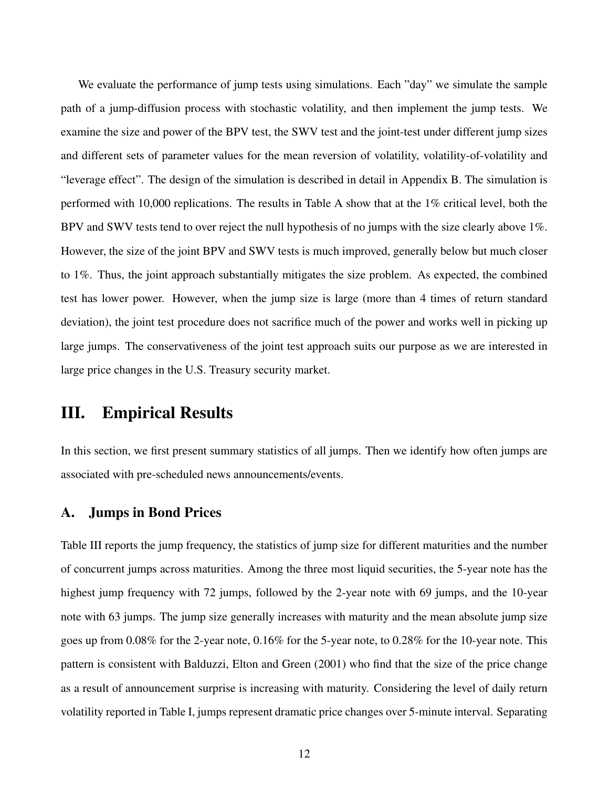We evaluate the performance of jump tests using simulations. Each "day" we simulate the sample path of a jump-diffusion process with stochastic volatility, and then implement the jump tests. We examine the size and power of the BPV test, the SWV test and the joint-test under different jump sizes and different sets of parameter values for the mean reversion of volatility, volatility-of-volatility and "leverage effect". The design of the simulation is described in detail in Appendix B. The simulation is performed with 10,000 replications. The results in Table A show that at the 1% critical level, both the BPV and SWV tests tend to over reject the null hypothesis of no jumps with the size clearly above 1%. However, the size of the joint BPV and SWV tests is much improved, generally below but much closer to 1%. Thus, the joint approach substantially mitigates the size problem. As expected, the combined test has lower power. However, when the jump size is large (more than 4 times of return standard deviation), the joint test procedure does not sacrifice much of the power and works well in picking up large jumps. The conservativeness of the joint test approach suits our purpose as we are interested in large price changes in the U.S. Treasury security market.

# III. Empirical Results

In this section, we first present summary statistics of all jumps. Then we identify how often jumps are associated with pre-scheduled news announcements/events.

#### A. Jumps in Bond Prices

Table III reports the jump frequency, the statistics of jump size for different maturities and the number of concurrent jumps across maturities. Among the three most liquid securities, the 5-year note has the highest jump frequency with 72 jumps, followed by the 2-year note with 69 jumps, and the 10-year note with 63 jumps. The jump size generally increases with maturity and the mean absolute jump size goes up from 0.08% for the 2-year note, 0.16% for the 5-year note, to 0.28% for the 10-year note. This pattern is consistent with Balduzzi, Elton and Green (2001) who find that the size of the price change as a result of announcement surprise is increasing with maturity. Considering the level of daily return volatility reported in Table I, jumps represent dramatic price changes over 5-minute interval. Separating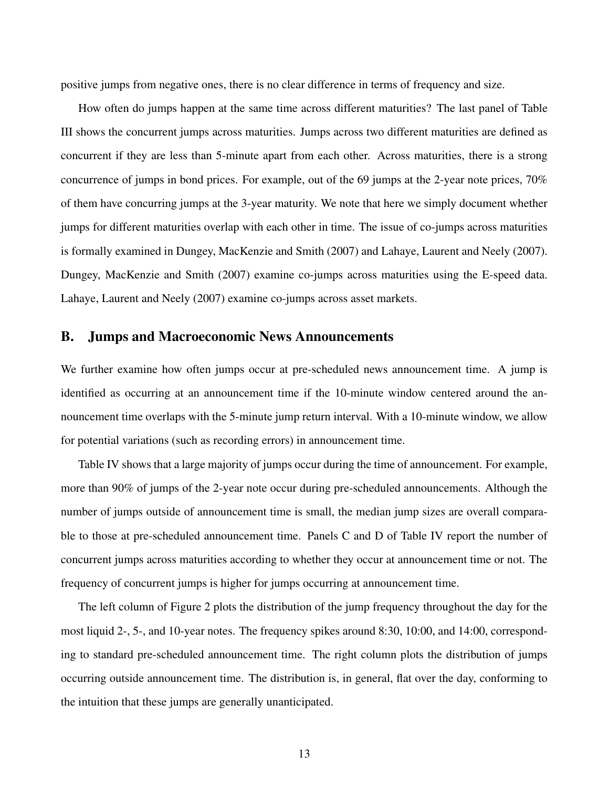positive jumps from negative ones, there is no clear difference in terms of frequency and size.

How often do jumps happen at the same time across different maturities? The last panel of Table III shows the concurrent jumps across maturities. Jumps across two different maturities are defined as concurrent if they are less than 5-minute apart from each other. Across maturities, there is a strong concurrence of jumps in bond prices. For example, out of the 69 jumps at the 2-year note prices, 70% of them have concurring jumps at the 3-year maturity. We note that here we simply document whether jumps for different maturities overlap with each other in time. The issue of co-jumps across maturities is formally examined in Dungey, MacKenzie and Smith (2007) and Lahaye, Laurent and Neely (2007). Dungey, MacKenzie and Smith (2007) examine co-jumps across maturities using the E-speed data. Lahaye, Laurent and Neely (2007) examine co-jumps across asset markets.

#### B. Jumps and Macroeconomic News Announcements

We further examine how often jumps occur at pre-scheduled news announcement time. A jump is identified as occurring at an announcement time if the 10-minute window centered around the announcement time overlaps with the 5-minute jump return interval. With a 10-minute window, we allow for potential variations (such as recording errors) in announcement time.

Table IV shows that a large majority of jumps occur during the time of announcement. For example, more than 90% of jumps of the 2-year note occur during pre-scheduled announcements. Although the number of jumps outside of announcement time is small, the median jump sizes are overall comparable to those at pre-scheduled announcement time. Panels C and D of Table IV report the number of concurrent jumps across maturities according to whether they occur at announcement time or not. The frequency of concurrent jumps is higher for jumps occurring at announcement time.

The left column of Figure 2 plots the distribution of the jump frequency throughout the day for the most liquid 2-, 5-, and 10-year notes. The frequency spikes around 8:30, 10:00, and 14:00, corresponding to standard pre-scheduled announcement time. The right column plots the distribution of jumps occurring outside announcement time. The distribution is, in general, flat over the day, conforming to the intuition that these jumps are generally unanticipated.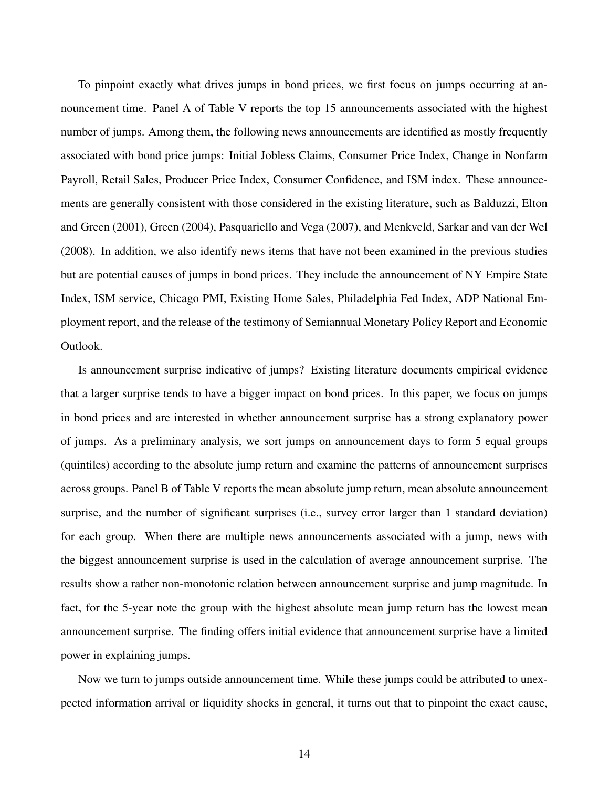To pinpoint exactly what drives jumps in bond prices, we first focus on jumps occurring at announcement time. Panel A of Table V reports the top 15 announcements associated with the highest number of jumps. Among them, the following news announcements are identified as mostly frequently associated with bond price jumps: Initial Jobless Claims, Consumer Price Index, Change in Nonfarm Payroll, Retail Sales, Producer Price Index, Consumer Confidence, and ISM index. These announcements are generally consistent with those considered in the existing literature, such as Balduzzi, Elton and Green (2001), Green (2004), Pasquariello and Vega (2007), and Menkveld, Sarkar and van der Wel (2008). In addition, we also identify news items that have not been examined in the previous studies but are potential causes of jumps in bond prices. They include the announcement of NY Empire State Index, ISM service, Chicago PMI, Existing Home Sales, Philadelphia Fed Index, ADP National Employment report, and the release of the testimony of Semiannual Monetary Policy Report and Economic Outlook.

Is announcement surprise indicative of jumps? Existing literature documents empirical evidence that a larger surprise tends to have a bigger impact on bond prices. In this paper, we focus on jumps in bond prices and are interested in whether announcement surprise has a strong explanatory power of jumps. As a preliminary analysis, we sort jumps on announcement days to form 5 equal groups (quintiles) according to the absolute jump return and examine the patterns of announcement surprises across groups. Panel B of Table V reports the mean absolute jump return, mean absolute announcement surprise, and the number of significant surprises (i.e., survey error larger than 1 standard deviation) for each group. When there are multiple news announcements associated with a jump, news with the biggest announcement surprise is used in the calculation of average announcement surprise. The results show a rather non-monotonic relation between announcement surprise and jump magnitude. In fact, for the 5-year note the group with the highest absolute mean jump return has the lowest mean announcement surprise. The finding offers initial evidence that announcement surprise have a limited power in explaining jumps.

Now we turn to jumps outside announcement time. While these jumps could be attributed to unexpected information arrival or liquidity shocks in general, it turns out that to pinpoint the exact cause,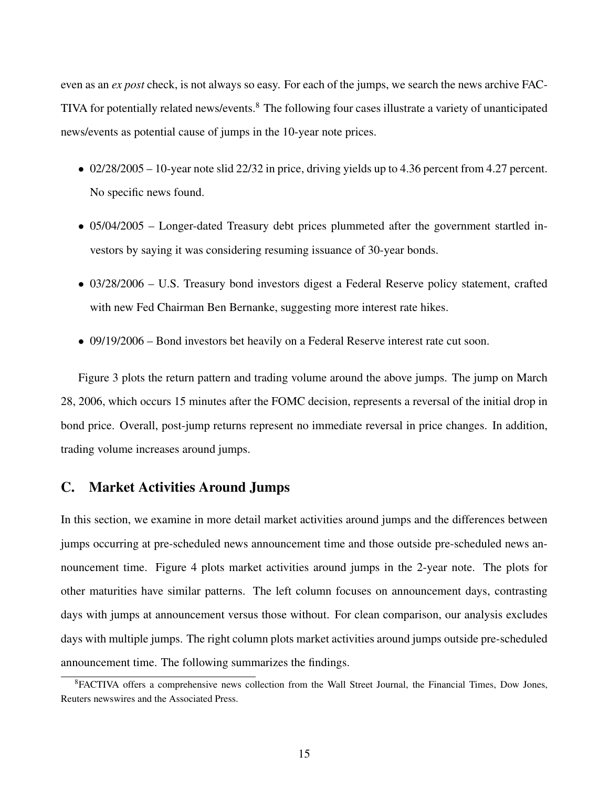even as an *ex post* check, is not always so easy. For each of the jumps, we search the news archive FAC-TIVA for potentially related news/events.<sup>8</sup> The following four cases illustrate a variety of unanticipated news/events as potential cause of jumps in the 10-year note prices.

- 02/28/2005 10-year note slid 22/32 in price, driving yields up to 4.36 percent from 4.27 percent. No specific news found.
- 05/04/2005 Longer-dated Treasury debt prices plummeted after the government startled investors by saying it was considering resuming issuance of 30-year bonds.
- 03/28/2006 U.S. Treasury bond investors digest a Federal Reserve policy statement, crafted with new Fed Chairman Ben Bernanke, suggesting more interest rate hikes.
- 09/19/2006 Bond investors bet heavily on a Federal Reserve interest rate cut soon.

Figure 3 plots the return pattern and trading volume around the above jumps. The jump on March 28, 2006, which occurs 15 minutes after the FOMC decision, represents a reversal of the initial drop in bond price. Overall, post-jump returns represent no immediate reversal in price changes. In addition, trading volume increases around jumps.

# C. Market Activities Around Jumps

In this section, we examine in more detail market activities around jumps and the differences between jumps occurring at pre-scheduled news announcement time and those outside pre-scheduled news announcement time. Figure 4 plots market activities around jumps in the 2-year note. The plots for other maturities have similar patterns. The left column focuses on announcement days, contrasting days with jumps at announcement versus those without. For clean comparison, our analysis excludes days with multiple jumps. The right column plots market activities around jumps outside pre-scheduled announcement time. The following summarizes the findings.

<sup>8</sup>FACTIVA offers a comprehensive news collection from the Wall Street Journal, the Financial Times, Dow Jones, Reuters newswires and the Associated Press.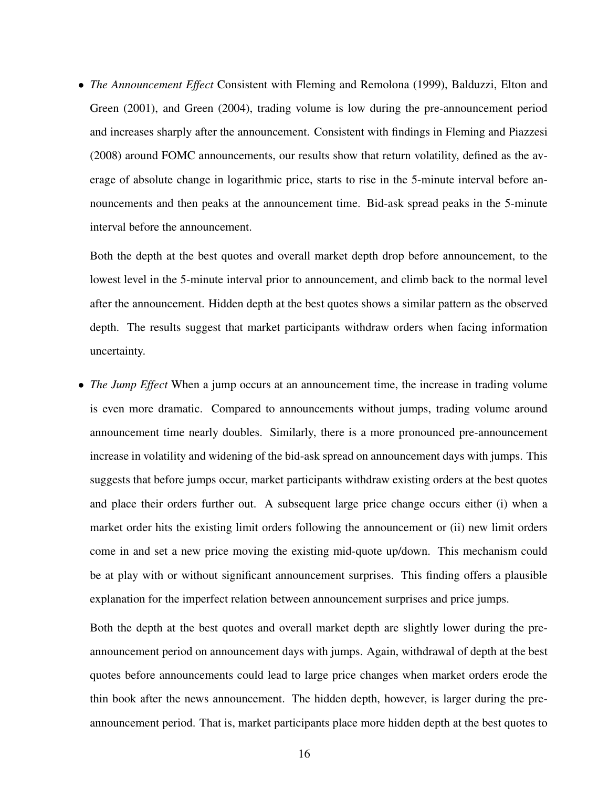• *The Announcement Effect* Consistent with Fleming and Remolona (1999), Balduzzi, Elton and Green (2001), and Green (2004), trading volume is low during the pre-announcement period and increases sharply after the announcement. Consistent with findings in Fleming and Piazzesi (2008) around FOMC announcements, our results show that return volatility, defined as the average of absolute change in logarithmic price, starts to rise in the 5-minute interval before announcements and then peaks at the announcement time. Bid-ask spread peaks in the 5-minute interval before the announcement.

Both the depth at the best quotes and overall market depth drop before announcement, to the lowest level in the 5-minute interval prior to announcement, and climb back to the normal level after the announcement. Hidden depth at the best quotes shows a similar pattern as the observed depth. The results suggest that market participants withdraw orders when facing information uncertainty.

• *The Jump Effect* When a jump occurs at an announcement time, the increase in trading volume is even more dramatic. Compared to announcements without jumps, trading volume around announcement time nearly doubles. Similarly, there is a more pronounced pre-announcement increase in volatility and widening of the bid-ask spread on announcement days with jumps. This suggests that before jumps occur, market participants withdraw existing orders at the best quotes and place their orders further out. A subsequent large price change occurs either (i) when a market order hits the existing limit orders following the announcement or (ii) new limit orders come in and set a new price moving the existing mid-quote up/down. This mechanism could be at play with or without significant announcement surprises. This finding offers a plausible explanation for the imperfect relation between announcement surprises and price jumps.

Both the depth at the best quotes and overall market depth are slightly lower during the preannouncement period on announcement days with jumps. Again, withdrawal of depth at the best quotes before announcements could lead to large price changes when market orders erode the thin book after the news announcement. The hidden depth, however, is larger during the preannouncement period. That is, market participants place more hidden depth at the best quotes to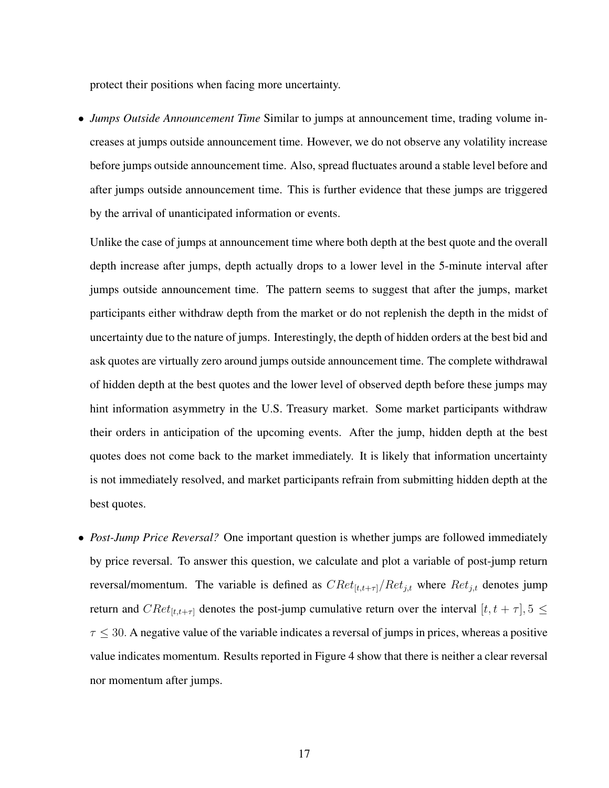protect their positions when facing more uncertainty.

• *Jumps Outside Announcement Time* Similar to jumps at announcement time, trading volume increases at jumps outside announcement time. However, we do not observe any volatility increase before jumps outside announcement time. Also, spread fluctuates around a stable level before and after jumps outside announcement time. This is further evidence that these jumps are triggered by the arrival of unanticipated information or events.

Unlike the case of jumps at announcement time where both depth at the best quote and the overall depth increase after jumps, depth actually drops to a lower level in the 5-minute interval after jumps outside announcement time. The pattern seems to suggest that after the jumps, market participants either withdraw depth from the market or do not replenish the depth in the midst of uncertainty due to the nature of jumps. Interestingly, the depth of hidden orders at the best bid and ask quotes are virtually zero around jumps outside announcement time. The complete withdrawal of hidden depth at the best quotes and the lower level of observed depth before these jumps may hint information asymmetry in the U.S. Treasury market. Some market participants withdraw their orders in anticipation of the upcoming events. After the jump, hidden depth at the best quotes does not come back to the market immediately. It is likely that information uncertainty is not immediately resolved, and market participants refrain from submitting hidden depth at the best quotes.

• *Post-Jump Price Reversal?* One important question is whether jumps are followed immediately by price reversal. To answer this question, we calculate and plot a variable of post-jump return reversal/momentum. The variable is defined as  $CRet_{[t,t+\tau]}/Ret_{j,t}$  where  $Ret_{j,t}$  denotes jump return and  $CRet_{[t,t+\tau]}$  denotes the post-jump cumulative return over the interval  $[t, t + \tau]$ ,  $5 \leq$  $\tau \leq 30$ . A negative value of the variable indicates a reversal of jumps in prices, whereas a positive value indicates momentum. Results reported in Figure 4 show that there is neither a clear reversal nor momentum after jumps.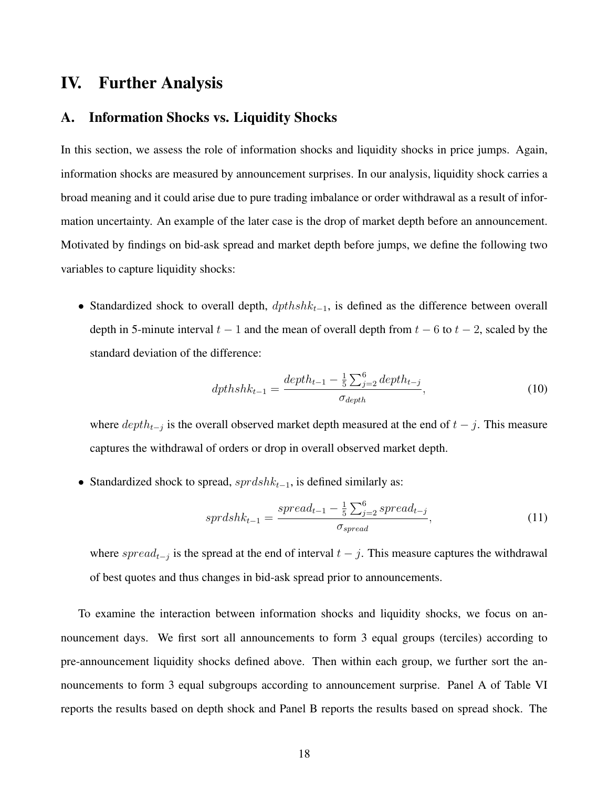# IV. Further Analysis

#### A. Information Shocks vs. Liquidity Shocks

In this section, we assess the role of information shocks and liquidity shocks in price jumps. Again, information shocks are measured by announcement surprises. In our analysis, liquidity shock carries a broad meaning and it could arise due to pure trading imbalance or order withdrawal as a result of information uncertainty. An example of the later case is the drop of market depth before an announcement. Motivated by findings on bid-ask spread and market depth before jumps, we define the following two variables to capture liquidity shocks:

• Standardized shock to overall depth,  $dpthshk_{t-1}$ , is defined as the difference between overall depth in 5-minute interval  $t - 1$  and the mean of overall depth from  $t - 6$  to  $t - 2$ , scaled by the standard deviation of the difference:

$$
dpthshk_{t-1} = \frac{depth_{t-1} - \frac{1}{5} \sum_{j=2}^{6} depth_{t-j}}{\sigma_{depth}},
$$
\n(10)

where  $depth_{t-j}$  is the overall observed market depth measured at the end of  $t-j$ . This measure captures the withdrawal of orders or drop in overall observed market depth.

• Standardized shock to spread,  $sprdshk_{t-1}$ , is defined similarly as:

$$
sprdshk_{t-1} = \frac{spread_{t-1} - \frac{1}{5} \sum_{j=2}^{6} spread_{t-j}}{\sigma_{spread}},
$$
\n(11)

where spread<sub>t−j</sub> is the spread at the end of interval  $t - j$ . This measure captures the withdrawal of best quotes and thus changes in bid-ask spread prior to announcements.

To examine the interaction between information shocks and liquidity shocks, we focus on announcement days. We first sort all announcements to form 3 equal groups (terciles) according to pre-announcement liquidity shocks defined above. Then within each group, we further sort the announcements to form 3 equal subgroups according to announcement surprise. Panel A of Table VI reports the results based on depth shock and Panel B reports the results based on spread shock. The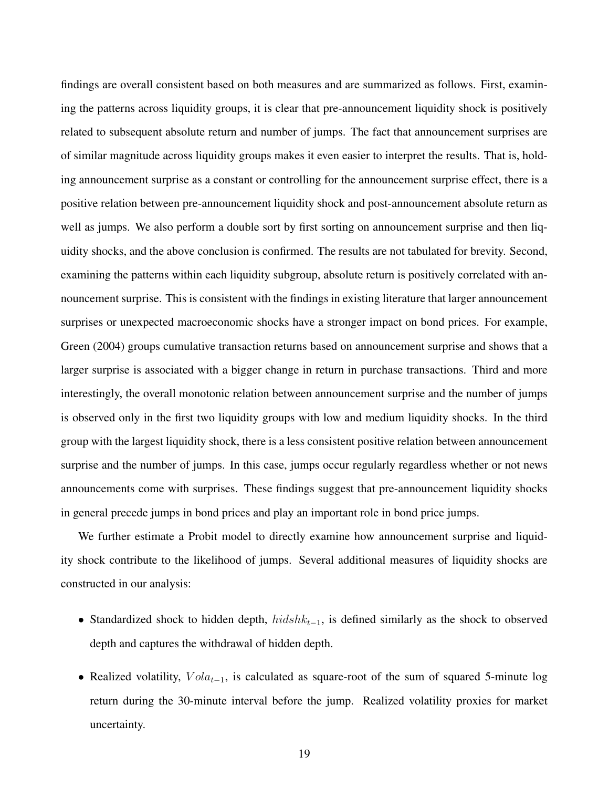findings are overall consistent based on both measures and are summarized as follows. First, examining the patterns across liquidity groups, it is clear that pre-announcement liquidity shock is positively related to subsequent absolute return and number of jumps. The fact that announcement surprises are of similar magnitude across liquidity groups makes it even easier to interpret the results. That is, holding announcement surprise as a constant or controlling for the announcement surprise effect, there is a positive relation between pre-announcement liquidity shock and post-announcement absolute return as well as jumps. We also perform a double sort by first sorting on announcement surprise and then liquidity shocks, and the above conclusion is confirmed. The results are not tabulated for brevity. Second, examining the patterns within each liquidity subgroup, absolute return is positively correlated with announcement surprise. This is consistent with the findings in existing literature that larger announcement surprises or unexpected macroeconomic shocks have a stronger impact on bond prices. For example, Green (2004) groups cumulative transaction returns based on announcement surprise and shows that a larger surprise is associated with a bigger change in return in purchase transactions. Third and more interestingly, the overall monotonic relation between announcement surprise and the number of jumps is observed only in the first two liquidity groups with low and medium liquidity shocks. In the third group with the largest liquidity shock, there is a less consistent positive relation between announcement surprise and the number of jumps. In this case, jumps occur regularly regardless whether or not news announcements come with surprises. These findings suggest that pre-announcement liquidity shocks in general precede jumps in bond prices and play an important role in bond price jumps.

We further estimate a Probit model to directly examine how announcement surprise and liquidity shock contribute to the likelihood of jumps. Several additional measures of liquidity shocks are constructed in our analysis:

- Standardized shock to hidden depth,  $hidshk_{t-1}$ , is defined similarly as the shock to observed depth and captures the withdrawal of hidden depth.
- Realized volatility,  $Vola_{t-1}$ , is calculated as square-root of the sum of squared 5-minute log return during the 30-minute interval before the jump. Realized volatility proxies for market uncertainty.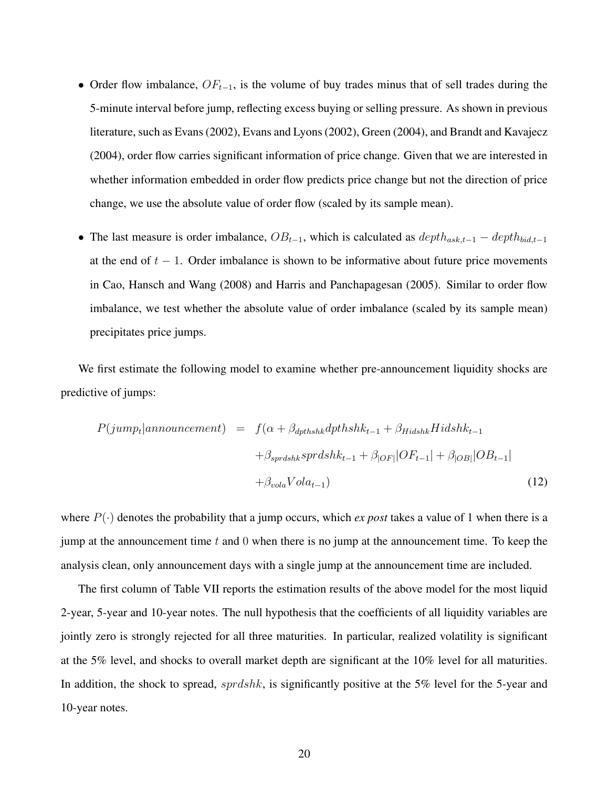- Order flow imbalance,  $OF_{t-1}$ , is the volume of buy trades minus that of sell trades during the 5-minute interval before jump, reflecting excess buying or selling pressure. As shown in previous literature, such as Evans (2002), Evans and Lyons (2002), Green (2004), and Brandt and Kavajecz (2004), order flow carries significant information of price change. Given that we are interested in whether information embedded in order flow predicts price change but not the direction of price change, we use the absolute value of order flow (scaled by its sample mean).
- The last measure is order imbalance,  $OB_{t-1}$ , which is calculated as  $depth_{ask,t-1} depth_{bid,t-1}$ at the end of  $t - 1$ . Order imbalance is shown to be informative about future price movements in Cao, Hansch and Wang (2008) and Harris and Panchapagesan (2005). Similar to order flow imbalance, we test whether the absolute value of order imbalance (scaled by its sample mean) precipitates price jumps.

We first estimate the following model to examine whether pre-announcement liquidity shocks are predictive of jumps:

$$
P(jump_t|announcement) = f(\alpha + \beta_{\text{dpthshk}} \text{dpthshk}_{t-1} + \beta_{\text{Hidshk}} \text{Hidshk}_{t-1} + \beta_{\text{dDH}} \text{dF}_{t-1} + \beta_{\text{dDH}} \text{dF}_{t-1} + \beta_{\text{dDH}} \text{dF}_{t-1} + \beta_{\text{dDH}} \text{dF}_{t-1}
$$
\n
$$
+ \beta_{\text{vola}} \text{Vola}_{t-1} \tag{12}
$$

where  $P(\cdot)$  denotes the probability that a jump occurs, which *ex post* takes a value of 1 when there is a jump at the announcement time  $t$  and  $0$  when there is no jump at the announcement time. To keep the analysis clean, only announcement days with a single jump at the announcement time are included.

The first column of Table VII reports the estimation results of the above model for the most liquid 2-year, 5-year and 10-year notes. The null hypothesis that the coefficients of all liquidity variables are jointly zero is strongly rejected for all three maturities. In particular, realized volatility is significant at the 5% level, and shocks to overall market depth are significant at the 10% level for all maturities. In addition, the shock to spread,  $sprdshk$ , is significantly positive at the 5% level for the 5-year and 10-year notes.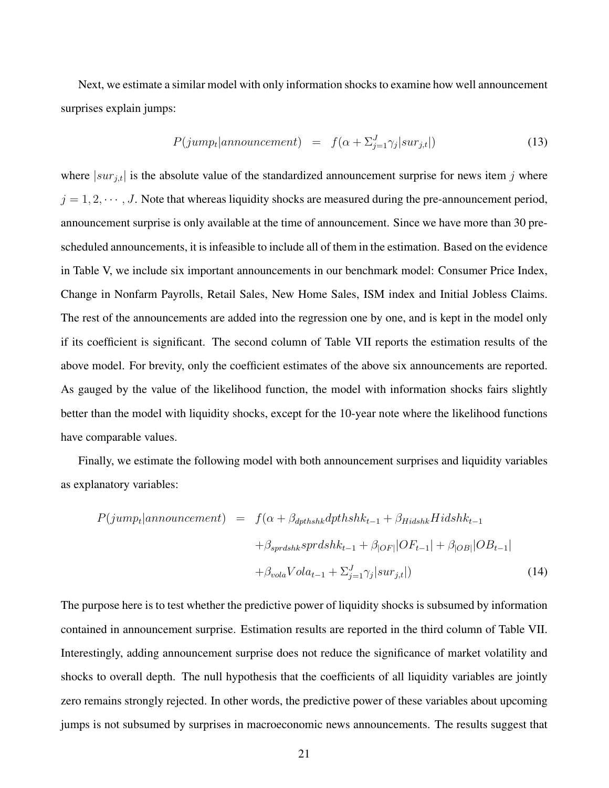Next, we estimate a similar model with only information shocks to examine how well announcement surprises explain jumps:

$$
P(jump_t|announcement) = f(\alpha + \sum_{j=1}^{J} \gamma_j | sur_{j,t} |)
$$
\n(13)

where  $|sur_{j,t}|$  is the absolute value of the standardized announcement surprise for news item j where  $j = 1, 2, \dots, J$ . Note that whereas liquidity shocks are measured during the pre-announcement period, announcement surprise is only available at the time of announcement. Since we have more than 30 prescheduled announcements, it is infeasible to include all of them in the estimation. Based on the evidence in Table V, we include six important announcements in our benchmark model: Consumer Price Index, Change in Nonfarm Payrolls, Retail Sales, New Home Sales, ISM index and Initial Jobless Claims. The rest of the announcements are added into the regression one by one, and is kept in the model only if its coefficient is significant. The second column of Table VII reports the estimation results of the above model. For brevity, only the coefficient estimates of the above six announcements are reported. As gauged by the value of the likelihood function, the model with information shocks fairs slightly better than the model with liquidity shocks, except for the 10-year note where the likelihood functions have comparable values.

Finally, we estimate the following model with both announcement surprises and liquidity variables as explanatory variables:

$$
P(jump_t|announcement) = f(\alpha + \beta_{dptbshk}dpthshk_{t-1} + \beta_{Hidshk}Hidshk_{t-1} + \beta_{sprdshk sprdshk_{t-1} + \beta_{|OF|}|OF_{t-1}| + \beta_{|OB|}|OB_{t-1}| + \beta_{vola}Vola_{t-1} + \sum_{j=1}^{J} \gamma_j |sur_{j,t}|)
$$
(14)

The purpose here is to test whether the predictive power of liquidity shocks is subsumed by information contained in announcement surprise. Estimation results are reported in the third column of Table VII. Interestingly, adding announcement surprise does not reduce the significance of market volatility and shocks to overall depth. The null hypothesis that the coefficients of all liquidity variables are jointly zero remains strongly rejected. In other words, the predictive power of these variables about upcoming jumps is not subsumed by surprises in macroeconomic news announcements. The results suggest that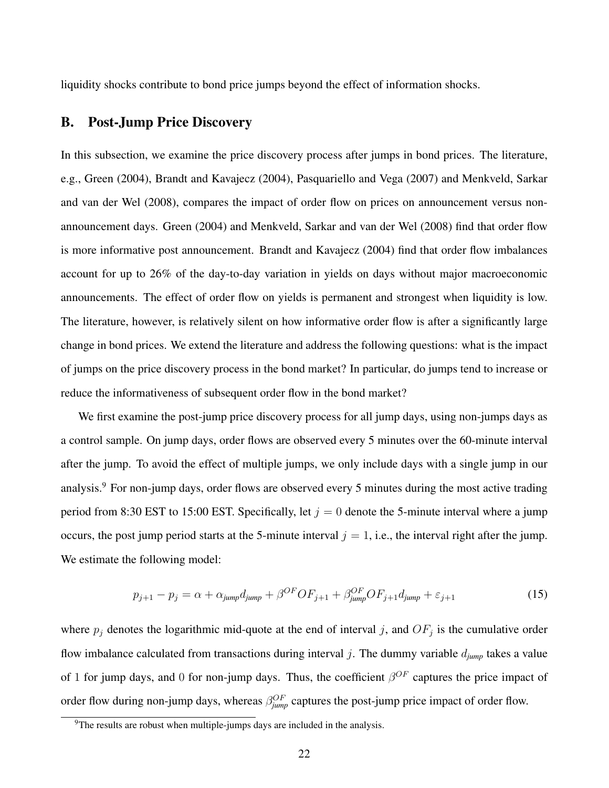liquidity shocks contribute to bond price jumps beyond the effect of information shocks.

# B. Post-Jump Price Discovery

In this subsection, we examine the price discovery process after jumps in bond prices. The literature, e.g., Green (2004), Brandt and Kavajecz (2004), Pasquariello and Vega (2007) and Menkveld, Sarkar and van der Wel (2008), compares the impact of order flow on prices on announcement versus nonannouncement days. Green (2004) and Menkveld, Sarkar and van der Wel (2008) find that order flow is more informative post announcement. Brandt and Kavajecz (2004) find that order flow imbalances account for up to 26% of the day-to-day variation in yields on days without major macroeconomic announcements. The effect of order flow on yields is permanent and strongest when liquidity is low. The literature, however, is relatively silent on how informative order flow is after a significantly large change in bond prices. We extend the literature and address the following questions: what is the impact of jumps on the price discovery process in the bond market? In particular, do jumps tend to increase or reduce the informativeness of subsequent order flow in the bond market?

We first examine the post-jump price discovery process for all jump days, using non-jumps days as a control sample. On jump days, order flows are observed every 5 minutes over the 60-minute interval after the jump. To avoid the effect of multiple jumps, we only include days with a single jump in our analysis.<sup>9</sup> For non-jump days, order flows are observed every 5 minutes during the most active trading period from 8:30 EST to 15:00 EST. Specifically, let  $j = 0$  denote the 5-minute interval where a jump occurs, the post jump period starts at the 5-minute interval  $j = 1$ , i.e., the interval right after the jump. We estimate the following model:

$$
p_{j+1} - p_j = \alpha + \alpha_{jump} d_{jump} + \beta^{OF} OF_{j+1} + \beta_{jump}^{OF} OF_{j+1} d_{jump} + \varepsilon_{j+1}
$$
\n(15)

where  $p_j$  denotes the logarithmic mid-quote at the end of interval j, and  $OF_j$  is the cumulative order flow imbalance calculated from transactions during interval j. The dummy variable d*jump* takes a value of 1 for jump days, and 0 for non-jump days. Thus, the coefficient  $\beta^{OF}$  captures the price impact of order flow during non-jump days, whereas  $\beta_{jump}^{OF}$  captures the post-jump price impact of order flow.

 $\frac{9}{9}$ The results are robust when multiple-jumps days are included in the analysis.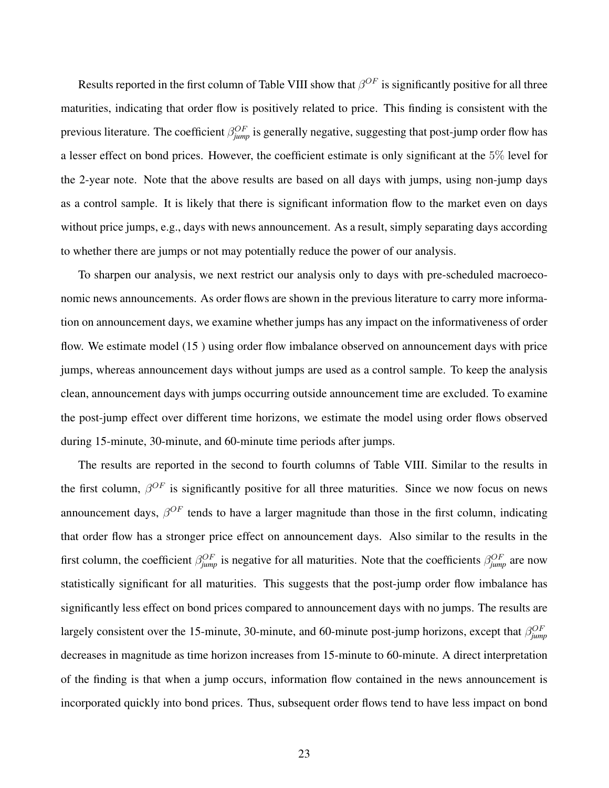Results reported in the first column of Table VIII show that  $\beta^{OF}$  is significantly positive for all three maturities, indicating that order flow is positively related to price. This finding is consistent with the previous literature. The coefficient  $\beta_{jump}^{OF}$  is generally negative, suggesting that post-jump order flow has a lesser effect on bond prices. However, the coefficient estimate is only significant at the 5% level for the 2-year note. Note that the above results are based on all days with jumps, using non-jump days as a control sample. It is likely that there is significant information flow to the market even on days without price jumps, e.g., days with news announcement. As a result, simply separating days according to whether there are jumps or not may potentially reduce the power of our analysis.

To sharpen our analysis, we next restrict our analysis only to days with pre-scheduled macroeconomic news announcements. As order flows are shown in the previous literature to carry more information on announcement days, we examine whether jumps has any impact on the informativeness of order flow. We estimate model (15 ) using order flow imbalance observed on announcement days with price jumps, whereas announcement days without jumps are used as a control sample. To keep the analysis clean, announcement days with jumps occurring outside announcement time are excluded. To examine the post-jump effect over different time horizons, we estimate the model using order flows observed during 15-minute, 30-minute, and 60-minute time periods after jumps.

The results are reported in the second to fourth columns of Table VIII. Similar to the results in the first column,  $\beta^{OF}$  is significantly positive for all three maturities. Since we now focus on news announcement days,  $\beta^{OF}$  tends to have a larger magnitude than those in the first column, indicating that order flow has a stronger price effect on announcement days. Also similar to the results in the first column, the coefficient  $\beta_{jump}^{OF}$  is negative for all maturities. Note that the coefficients  $\beta_{jump}^{OF}$  are now statistically significant for all maturities. This suggests that the post-jump order flow imbalance has significantly less effect on bond prices compared to announcement days with no jumps. The results are largely consistent over the 15-minute, 30-minute, and 60-minute post-jump horizons, except that  $\beta_{jump}^{OF}$ decreases in magnitude as time horizon increases from 15-minute to 60-minute. A direct interpretation of the finding is that when a jump occurs, information flow contained in the news announcement is incorporated quickly into bond prices. Thus, subsequent order flows tend to have less impact on bond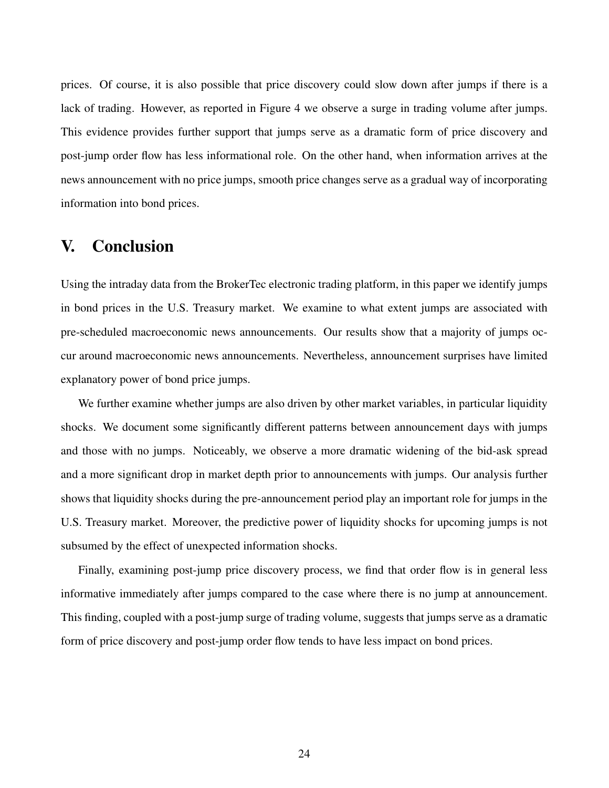prices. Of course, it is also possible that price discovery could slow down after jumps if there is a lack of trading. However, as reported in Figure 4 we observe a surge in trading volume after jumps. This evidence provides further support that jumps serve as a dramatic form of price discovery and post-jump order flow has less informational role. On the other hand, when information arrives at the news announcement with no price jumps, smooth price changes serve as a gradual way of incorporating information into bond prices.

# V. Conclusion

Using the intraday data from the BrokerTec electronic trading platform, in this paper we identify jumps in bond prices in the U.S. Treasury market. We examine to what extent jumps are associated with pre-scheduled macroeconomic news announcements. Our results show that a majority of jumps occur around macroeconomic news announcements. Nevertheless, announcement surprises have limited explanatory power of bond price jumps.

We further examine whether jumps are also driven by other market variables, in particular liquidity shocks. We document some significantly different patterns between announcement days with jumps and those with no jumps. Noticeably, we observe a more dramatic widening of the bid-ask spread and a more significant drop in market depth prior to announcements with jumps. Our analysis further shows that liquidity shocks during the pre-announcement period play an important role for jumps in the U.S. Treasury market. Moreover, the predictive power of liquidity shocks for upcoming jumps is not subsumed by the effect of unexpected information shocks.

Finally, examining post-jump price discovery process, we find that order flow is in general less informative immediately after jumps compared to the case where there is no jump at announcement. This finding, coupled with a post-jump surge of trading volume, suggests that jumps serve as a dramatic form of price discovery and post-jump order flow tends to have less impact on bond prices.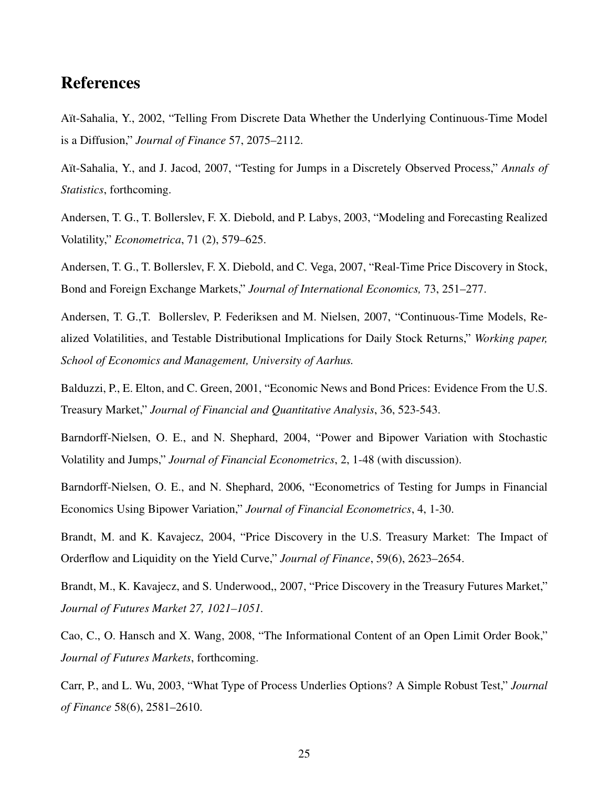# References

Aït-Sahalia, Y., 2002, "Telling From Discrete Data Whether the Underlying Continuous-Time Model is a Diffusion," *Journal of Finance* 57, 2075–2112.

A¨ıt-Sahalia, Y., and J. Jacod, 2007, "Testing for Jumps in a Discretely Observed Process," *Annals of Statistics*, forthcoming.

Andersen, T. G., T. Bollerslev, F. X. Diebold, and P. Labys, 2003, "Modeling and Forecasting Realized Volatility," *Econometrica*, 71 (2), 579–625.

Andersen, T. G., T. Bollerslev, F. X. Diebold, and C. Vega, 2007, "Real-Time Price Discovery in Stock, Bond and Foreign Exchange Markets," *Journal of International Economics,* 73, 251–277.

Andersen, T. G.,T. Bollerslev, P. Federiksen and M. Nielsen, 2007, "Continuous-Time Models, Realized Volatilities, and Testable Distributional Implications for Daily Stock Returns," *Working paper, School of Economics and Management, University of Aarhus.*

Balduzzi, P., E. Elton, and C. Green, 2001, "Economic News and Bond Prices: Evidence From the U.S. Treasury Market," *Journal of Financial and Quantitative Analysis*, 36, 523-543.

Barndorff-Nielsen, O. E., and N. Shephard, 2004, "Power and Bipower Variation with Stochastic Volatility and Jumps," *Journal of Financial Econometrics*, 2, 1-48 (with discussion).

Barndorff-Nielsen, O. E., and N. Shephard, 2006, "Econometrics of Testing for Jumps in Financial Economics Using Bipower Variation," *Journal of Financial Econometrics*, 4, 1-30.

Brandt, M. and K. Kavajecz, 2004, "Price Discovery in the U.S. Treasury Market: The Impact of Orderflow and Liquidity on the Yield Curve," *Journal of Finance*, 59(6), 2623–2654.

Brandt, M., K. Kavajecz, and S. Underwood,, 2007, "Price Discovery in the Treasury Futures Market," *Journal of Futures Market 27, 1021–1051.*

Cao, C., O. Hansch and X. Wang, 2008, "The Informational Content of an Open Limit Order Book," *Journal of Futures Markets*, forthcoming.

Carr, P., and L. Wu, 2003, "What Type of Process Underlies Options? A Simple Robust Test," *Journal of Finance* 58(6), 2581–2610.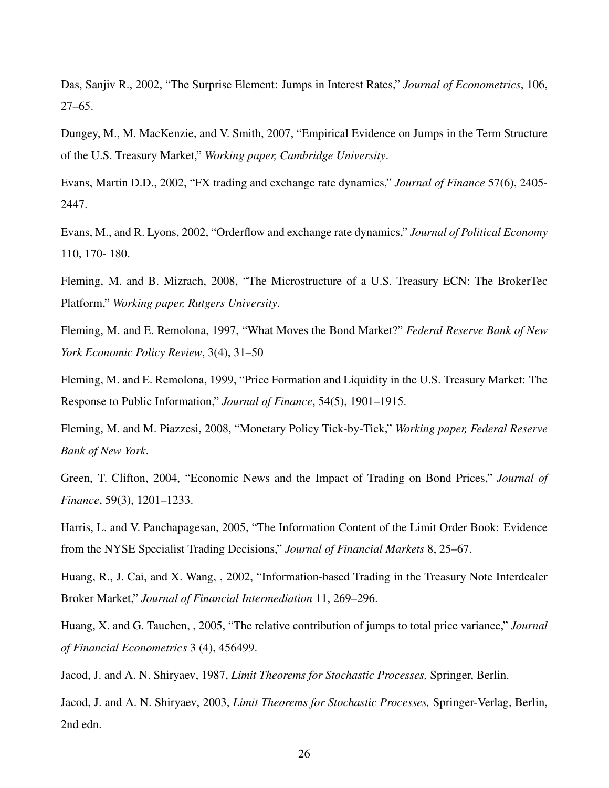Das, Sanjiv R., 2002, "The Surprise Element: Jumps in Interest Rates," *Journal of Econometrics*, 106, 27–65.

Dungey, M., M. MacKenzie, and V. Smith, 2007, "Empirical Evidence on Jumps in the Term Structure of the U.S. Treasury Market," *Working paper, Cambridge University*.

Evans, Martin D.D., 2002, "FX trading and exchange rate dynamics," *Journal of Finance* 57(6), 2405- 2447.

Evans, M., and R. Lyons, 2002, "Orderflow and exchange rate dynamics," *Journal of Political Economy* 110, 170- 180.

Fleming, M. and B. Mizrach, 2008, "The Microstructure of a U.S. Treasury ECN: The BrokerTec Platform," *Working paper, Rutgers University*.

Fleming, M. and E. Remolona, 1997, "What Moves the Bond Market?" *Federal Reserve Bank of New York Economic Policy Review*, 3(4), 31–50

Fleming, M. and E. Remolona, 1999, "Price Formation and Liquidity in the U.S. Treasury Market: The Response to Public Information," *Journal of Finance*, 54(5), 1901–1915.

Fleming, M. and M. Piazzesi, 2008, "Monetary Policy Tick-by-Tick," *Working paper, Federal Reserve Bank of New York*.

Green, T. Clifton, 2004, "Economic News and the Impact of Trading on Bond Prices," *Journal of Finance*, 59(3), 1201–1233.

Harris, L. and V. Panchapagesan, 2005, "The Information Content of the Limit Order Book: Evidence from the NYSE Specialist Trading Decisions," *Journal of Financial Markets* 8, 25–67.

Huang, R., J. Cai, and X. Wang, , 2002, "Information-based Trading in the Treasury Note Interdealer Broker Market," *Journal of Financial Intermediation* 11, 269–296.

Huang, X. and G. Tauchen, , 2005, "The relative contribution of jumps to total price variance," *Journal of Financial Econometrics* 3 (4), 456499.

Jacod, J. and A. N. Shiryaev, 1987, *Limit Theorems for Stochastic Processes,* Springer, Berlin.

Jacod, J. and A. N. Shiryaev, 2003, *Limit Theorems for Stochastic Processes,* Springer-Verlag, Berlin, 2nd edn.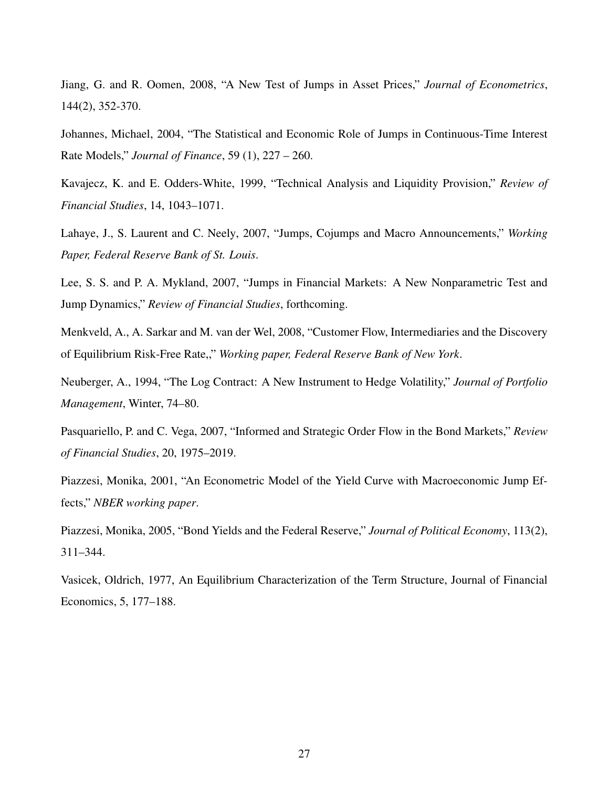Jiang, G. and R. Oomen, 2008, "A New Test of Jumps in Asset Prices," *Journal of Econometrics*, 144(2), 352-370.

Johannes, Michael, 2004, "The Statistical and Economic Role of Jumps in Continuous-Time Interest Rate Models," *Journal of Finance*, 59 (1), 227 – 260.

Kavajecz, K. and E. Odders-White, 1999, "Technical Analysis and Liquidity Provision," *Review of Financial Studies*, 14, 1043–1071.

Lahaye, J., S. Laurent and C. Neely, 2007, "Jumps, Cojumps and Macro Announcements," *Working Paper, Federal Reserve Bank of St. Louis*.

Lee, S. S. and P. A. Mykland, 2007, "Jumps in Financial Markets: A New Nonparametric Test and Jump Dynamics," *Review of Financial Studies*, forthcoming.

Menkveld, A., A. Sarkar and M. van der Wel, 2008, "Customer Flow, Intermediaries and the Discovery of Equilibrium Risk-Free Rate,," *Working paper, Federal Reserve Bank of New York*.

Neuberger, A., 1994, "The Log Contract: A New Instrument to Hedge Volatility," *Journal of Portfolio Management*, Winter, 74–80.

Pasquariello, P. and C. Vega, 2007, "Informed and Strategic Order Flow in the Bond Markets," *Review of Financial Studies*, 20, 1975–2019.

Piazzesi, Monika, 2001, "An Econometric Model of the Yield Curve with Macroeconomic Jump Effects," *NBER working paper*.

Piazzesi, Monika, 2005, "Bond Yields and the Federal Reserve," *Journal of Political Economy*, 113(2), 311–344.

Vasicek, Oldrich, 1977, An Equilibrium Characterization of the Term Structure, Journal of Financial Economics, 5, 177–188.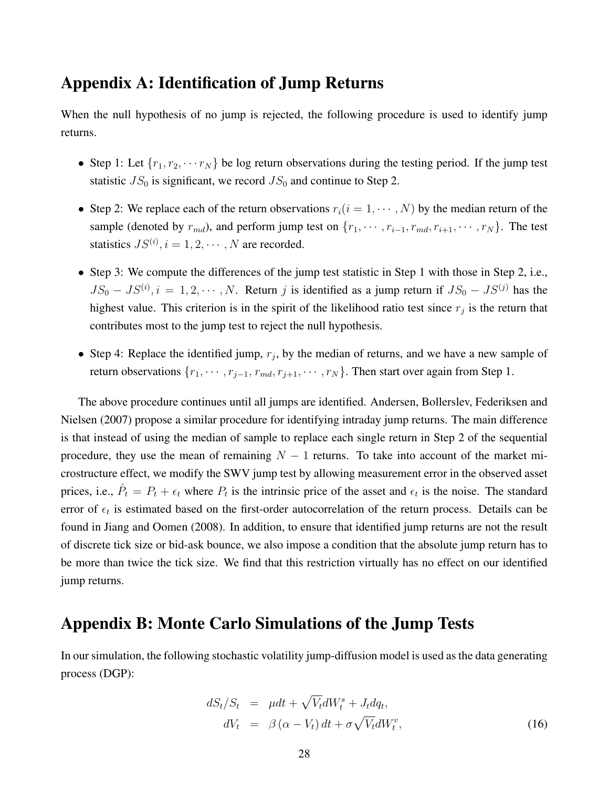# Appendix A: Identification of Jump Returns

When the null hypothesis of no jump is rejected, the following procedure is used to identify jump returns.

- Step 1: Let  $\{r_1, r_2, \cdots r_N\}$  be log return observations during the testing period. If the jump test statistic  $JS_0$  is significant, we record  $JS_0$  and continue to Step 2.
- Step 2: We replace each of the return observations  $r_i(i = 1, \dots, N)$  by the median return of the sample (denoted by  $r_{md}$ ), and perform jump test on  $\{r_1, \dots, r_{i-1}, r_{md}, r_{i+1}, \dots, r_N\}$ . The test statistics  $JS^{(i)}$ ,  $i = 1, 2, \cdots, N$  are recorded.
- Step 3: We compute the differences of the jump test statistic in Step 1 with those in Step 2, i.e.,  $JS_0 - JS^{(i)}$ ,  $i = 1, 2, \dots, N$ . Return j is identified as a jump return if  $JS_0 - JS^{(j)}$  has the highest value. This criterion is in the spirit of the likelihood ratio test since  $r_j$  is the return that contributes most to the jump test to reject the null hypothesis.
- Step 4: Replace the identified jump,  $r_j$ , by the median of returns, and we have a new sample of return observations  $\{r_1, \dots, r_{j-1}, r_{md}, r_{j+1}, \dots, r_N\}$ . Then start over again from Step 1.

The above procedure continues until all jumps are identified. Andersen, Bollerslev, Federiksen and Nielsen (2007) propose a similar procedure for identifying intraday jump returns. The main difference is that instead of using the median of sample to replace each single return in Step 2 of the sequential procedure, they use the mean of remaining  $N - 1$  returns. To take into account of the market microstructure effect, we modify the SWV jump test by allowing measurement error in the observed asset prices, i.e.,  $\hat{P}_t = P_t + \epsilon_t$  where  $P_t$  is the intrinsic price of the asset and  $\epsilon_t$  is the noise. The standard error of  $\epsilon_t$  is estimated based on the first-order autocorrelation of the return process. Details can be found in Jiang and Oomen (2008). In addition, to ensure that identified jump returns are not the result of discrete tick size or bid-ask bounce, we also impose a condition that the absolute jump return has to be more than twice the tick size. We find that this restriction virtually has no effect on our identified jump returns.

# Appendix B: Monte Carlo Simulations of the Jump Tests

In our simulation, the following stochastic volatility jump-diffusion model is used as the data generating process (DGP):

$$
dS_t/S_t = \mu dt + \sqrt{V_t}dW_t^s + J_t dq_t,
$$
  
\n
$$
dV_t = \beta(\alpha - V_t)dt + \sigma \sqrt{V_t}dW_t^v,
$$
\n(16)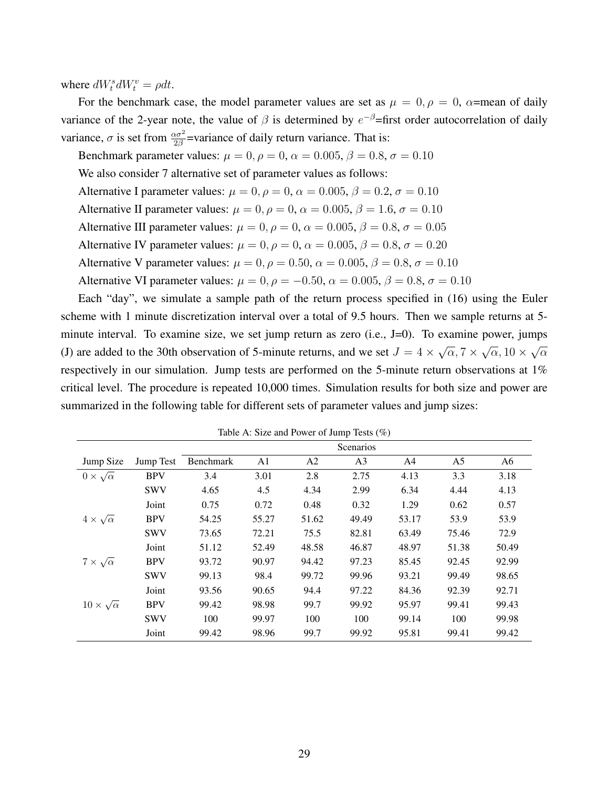where  $dW_t^s dW_t^v = \rho dt$ .

For the benchmark case, the model parameter values are set as  $\mu = 0, \rho = 0, \alpha$ =mean of daily variance of the 2-year note, the value of  $\beta$  is determined by  $e^{-\beta}$ =first order autocorrelation of daily variance,  $\sigma$  is set from  $\frac{\alpha \sigma^2}{2\beta}$ =variance of daily return variance. That is:

Benchmark parameter values:  $\mu = 0$ ,  $\rho = 0$ ,  $\alpha = 0.005$ ,  $\beta = 0.8$ ,  $\sigma = 0.10$ We also consider 7 alternative set of parameter values as follows: Alternative I parameter values:  $\mu = 0$ ,  $\rho = 0$ ,  $\alpha = 0.005$ ,  $\beta = 0.2$ ,  $\sigma = 0.10$ Alternative II parameter values:  $\mu = 0$ ,  $\rho = 0$ ,  $\alpha = 0.005$ ,  $\beta = 1.6$ ,  $\sigma = 0.10$ Alternative III parameter values:  $\mu = 0$ ,  $\rho = 0$ ,  $\alpha = 0.005$ ,  $\beta = 0.8$ ,  $\sigma = 0.05$ Alternative IV parameter values:  $\mu = 0$ ,  $\rho = 0$ ,  $\alpha = 0.005$ ,  $\beta = 0.8$ ,  $\sigma = 0.20$ Alternative V parameter values:  $\mu = 0$ ,  $\rho = 0.50$ ,  $\alpha = 0.005$ ,  $\beta = 0.8$ ,  $\sigma = 0.10$ Alternative VI parameter values:  $\mu = 0$ ,  $\rho = -0.50$ ,  $\alpha = 0.005$ ,  $\beta = 0.8$ ,  $\sigma = 0.10$ 

Each "day", we simulate a sample path of the return process specified in (16) using the Euler scheme with 1 minute discretization interval over a total of 9.5 hours. Then we sample returns at 5 minute interval. To examine size, we set jump return as zero (i.e., J=0). To examine power, jumps (J) are added to the 30th observation of 5-minute returns, and we set  $J = 4 \times$ √  $\overline{\alpha},7\times$ √  $\overline{\alpha}$ , 10  $\times$ √ α respectively in our simulation. Jump tests are performed on the 5-minute return observations at 1% critical level. The procedure is repeated 10,000 times. Simulation results for both size and power are summarized in the following table for different sets of parameter values and jump sizes:

|                           |            |                  |       |                | Scenarios      |       |                |       |
|---------------------------|------------|------------------|-------|----------------|----------------|-------|----------------|-------|
| Jump Size                 | Jump Test  | <b>Benchmark</b> | A1    | A <sub>2</sub> | A <sub>3</sub> | A4    | A <sub>5</sub> | A6    |
| $0 \times \sqrt{\alpha}$  | <b>BPV</b> | 3.4              | 3.01  | 2.8            | 2.75           | 4.13  | 3.3            | 3.18  |
|                           | <b>SWV</b> | 4.65             | 4.5   | 4.34           | 2.99           | 6.34  | 4.44           | 4.13  |
|                           | Joint      | 0.75             | 0.72  | 0.48           | 0.32           | 1.29  | 0.62           | 0.57  |
| $4 \times \sqrt{\alpha}$  | <b>BPV</b> | 54.25            | 55.27 | 51.62          | 49.49          | 53.17 | 53.9           | 53.9  |
|                           | <b>SWV</b> | 73.65            | 72.21 | 75.5           | 82.81          | 63.49 | 75.46          | 72.9  |
|                           | Joint      | 51.12            | 52.49 | 48.58          | 46.87          | 48.97 | 51.38          | 50.49 |
| $7 \times \sqrt{\alpha}$  | <b>BPV</b> | 93.72            | 90.97 | 94.42          | 97.23          | 85.45 | 92.45          | 92.99 |
|                           | <b>SWV</b> | 99.13            | 98.4  | 99.72          | 99.96          | 93.21 | 99.49          | 98.65 |
|                           | Joint      | 93.56            | 90.65 | 94.4           | 97.22          | 84.36 | 92.39          | 92.71 |
| $10 \times \sqrt{\alpha}$ | <b>BPV</b> | 99.42            | 98.98 | 99.7           | 99.92          | 95.97 | 99.41          | 99.43 |
|                           | <b>SWV</b> | 100              | 99.97 | 100            | 100            | 99.14 | 100            | 99.98 |
|                           | Joint      | 99.42            | 98.96 | 99.7           | 99.92          | 95.81 | 99.41          | 99.42 |

Table A: Size and Power of Jump Tests (%)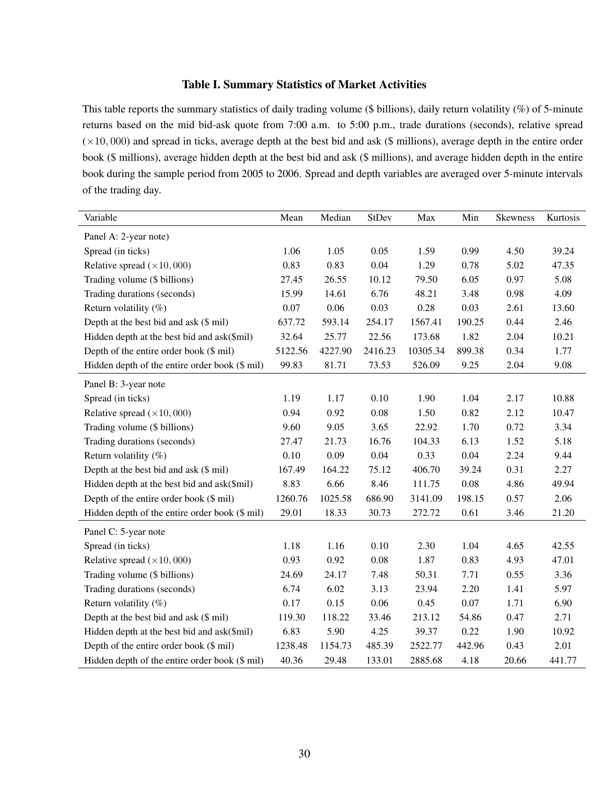#### Table I. Summary Statistics of Market Activities

This table reports the summary statistics of daily trading volume (\$ billions), daily return volatility (%) of 5-minute returns based on the mid bid-ask quote from 7:00 a.m. to 5:00 p.m., trade durations (seconds), relative spread  $(\times 10, 000)$  and spread in ticks, average depth at the best bid and ask (\$ millions), average depth in the entire order book (\$ millions), average hidden depth at the best bid and ask (\$ millions), and average hidden depth in the entire book during the sample period from 2005 to 2006. Spread and depth variables are averaged over 5-minute intervals of the trading day.

| Variable                                       | Mean    | Median  | <b>StDev</b> | Max      | Min    | <b>Skewness</b> | Kurtosis |
|------------------------------------------------|---------|---------|--------------|----------|--------|-----------------|----------|
| Panel A: 2-year note)                          |         |         |              |          |        |                 |          |
| Spread (in ticks)                              | 1.06    | 1.05    | 0.05         | 1.59     | 0.99   | 4.50            | 39.24    |
| Relative spread $(\times 10, 000)$             | 0.83    | 0.83    | 0.04         | 1.29     | 0.78   | 5.02            | 47.35    |
| Trading volume (\$ billions)                   | 27.45   | 26.55   | 10.12        | 79.50    | 6.05   | 0.97            | 5.08     |
| Trading durations (seconds)                    | 15.99   | 14.61   | 6.76         | 48.21    | 3.48   | 0.98            | 4.09     |
| Return volatility $(\%)$                       | 0.07    | 0.06    | 0.03         | 0.28     | 0.03   | 2.61            | 13.60    |
| Depth at the best bid and ask (\$ mil)         | 637.72  | 593.14  | 254.17       | 1567.41  | 190.25 | 0.44            | 2.46     |
| Hidden depth at the best bid and ask(\$mil)    | 32.64   | 25.77   | 22.56        | 173.68   | 1.82   | 2.04            | 10.21    |
| Depth of the entire order book (\$ mil)        | 5122.56 | 4227.90 | 2416.23      | 10305.34 | 899.38 | 0.34            | 1.77     |
| Hidden depth of the entire order book (\$ mil) | 99.83   | 81.71   | 73.53        | 526.09   | 9.25   | 2.04            | 9.08     |
| Panel B: 3-year note                           |         |         |              |          |        |                 |          |
| Spread (in ticks)                              | 1.19    | 1.17    | 0.10         | 1.90     | 1.04   | 2.17            | 10.88    |
| Relative spread $(\times 10, 000)$             | 0.94    | 0.92    | 0.08         | 1.50     | 0.82   | 2.12            | 10.47    |
| Trading volume (\$ billions)                   | 9.60    | 9.05    | 3.65         | 22.92    | 1.70   | 0.72            | 3.34     |
| Trading durations (seconds)                    | 27.47   | 21.73   | 16.76        | 104.33   | 6.13   | 1.52            | 5.18     |
| Return volatility $(\%)$                       | 0.10    | 0.09    | $0.04\,$     | 0.33     | 0.04   | 2.24            | 9.44     |
| Depth at the best bid and ask (\$ mil)         | 167.49  | 164.22  | 75.12        | 406.70   | 39.24  | 0.31            | 2.27     |
| Hidden depth at the best bid and ask(\$mil)    | 8.83    | 6.66    | 8.46         | 111.75   | 0.08   | 4.86            | 49.94    |
| Depth of the entire order book (\$ mil)        | 1260.76 | 1025.58 | 686.90       | 3141.09  | 198.15 | 0.57            | 2.06     |
| Hidden depth of the entire order book (\$ mil) | 29.01   | 18.33   | 30.73        | 272.72   | 0.61   | 3.46            | 21.20    |
| Panel C: 5-year note                           |         |         |              |          |        |                 |          |
| Spread (in ticks)                              | 1.18    | 1.16    | 0.10         | 2.30     | 1.04   | 4.65            | 42.55    |
| Relative spread $(\times 10, 000)$             | 0.93    | 0.92    | 0.08         | 1.87     | 0.83   | 4.93            | 47.01    |
| Trading volume (\$ billions)                   | 24.69   | 24.17   | 7.48         | 50.31    | 7.71   | 0.55            | 3.36     |
| Trading durations (seconds)                    | 6.74    | 6.02    | 3.13         | 23.94    | 2.20   | 1.41            | 5.97     |
| Return volatility $(\%)$                       | 0.17    | 0.15    | 0.06         | 0.45     | 0.07   | 1.71            | 6.90     |
| Depth at the best bid and ask (\$ mil)         | 119.30  | 118.22  | 33.46        | 213.12   | 54.86  | 0.47            | 2.71     |
| Hidden depth at the best bid and ask(\$mil)    | 6.83    | 5.90    | 4.25         | 39.37    | 0.22   | 1.90            | 10.92    |
| Depth of the entire order book (\$ mil)        | 1238.48 | 1154.73 | 485.39       | 2522.77  | 442.96 | 0.43            | 2.01     |
| Hidden depth of the entire order book (\$ mil) | 40.36   | 29.48   | 133.01       | 2885.68  | 4.18   | 20.66           | 441.77   |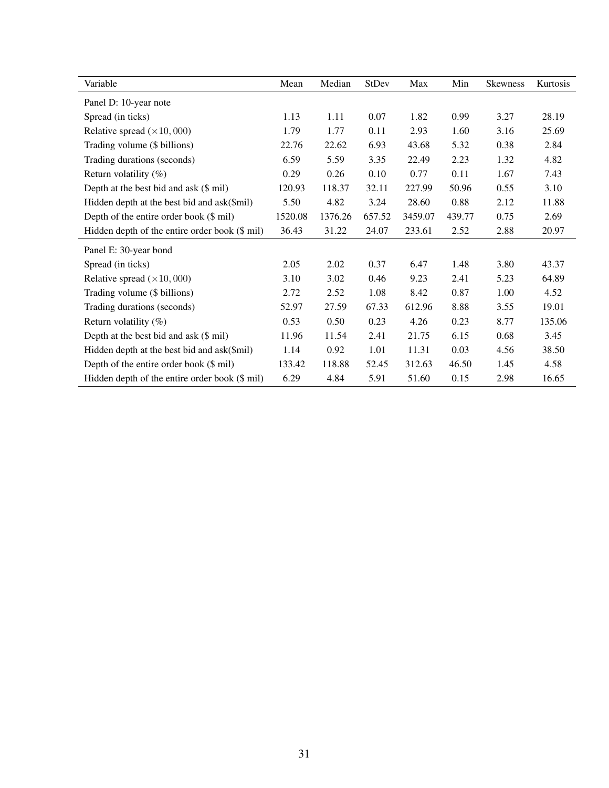| Variable                                       | Mean    | Median  | StDev  | Max     | Min    | Skewness | Kurtosis |
|------------------------------------------------|---------|---------|--------|---------|--------|----------|----------|
| Panel D: 10-year note                          |         |         |        |         |        |          |          |
| Spread (in ticks)                              | 1.13    | 1.11    | 0.07   | 1.82    | 0.99   | 3.27     | 28.19    |
| Relative spread $(\times 10, 000)$             | 1.79    | 1.77    | 0.11   | 2.93    | 1.60   | 3.16     | 25.69    |
| Trading volume (\$ billions)                   | 22.76   | 22.62   | 6.93   | 43.68   | 5.32   | 0.38     | 2.84     |
| Trading durations (seconds)                    | 6.59    | 5.59    | 3.35   | 22.49   | 2.23   | 1.32     | 4.82     |
| Return volatility $(\%)$                       | 0.29    | 0.26    | 0.10   | 0.77    | 0.11   | 1.67     | 7.43     |
| Depth at the best bid and ask (\$ mil)         | 120.93  | 118.37  | 32.11  | 227.99  | 50.96  | 0.55     | 3.10     |
| Hidden depth at the best bid and ask(\$mil)    | 5.50    | 4.82    | 3.24   | 28.60   | 0.88   | 2.12     | 11.88    |
| Depth of the entire order book (\$ mil)        | 1520.08 | 1376.26 | 657.52 | 3459.07 | 439.77 | 0.75     | 2.69     |
| Hidden depth of the entire order book (\$ mil) | 36.43   | 31.22   | 24.07  | 233.61  | 2.52   | 2.88     | 20.97    |
| Panel E: 30-year bond                          |         |         |        |         |        |          |          |
| Spread (in ticks)                              | 2.05    | 2.02    | 0.37   | 6.47    | 1.48   | 3.80     | 43.37    |
| Relative spread $(\times 10, 000)$             | 3.10    | 3.02    | 0.46   | 9.23    | 2.41   | 5.23     | 64.89    |
| Trading volume (\$ billions)                   | 2.72    | 2.52    | 1.08   | 8.42    | 0.87   | 1.00     | 4.52     |
| Trading durations (seconds)                    | 52.97   | 27.59   | 67.33  | 612.96  | 8.88   | 3.55     | 19.01    |
| Return volatility $(\%)$                       | 0.53    | 0.50    | 0.23   | 4.26    | 0.23   | 8.77     | 135.06   |
| Depth at the best bid and ask (\$ mil)         | 11.96   | 11.54   | 2.41   | 21.75   | 6.15   | 0.68     | 3.45     |
| Hidden depth at the best bid and ask(\$mil)    | 1.14    | 0.92    | 1.01   | 11.31   | 0.03   | 4.56     | 38.50    |
| Depth of the entire order book (\$ mil)        | 133.42  | 118.88  | 52.45  | 312.63  | 46.50  | 1.45     | 4.58     |
| Hidden depth of the entire order book (\$ mil) | 6.29    | 4.84    | 5.91   | 51.60   | 0.15   | 2.98     | 16.65    |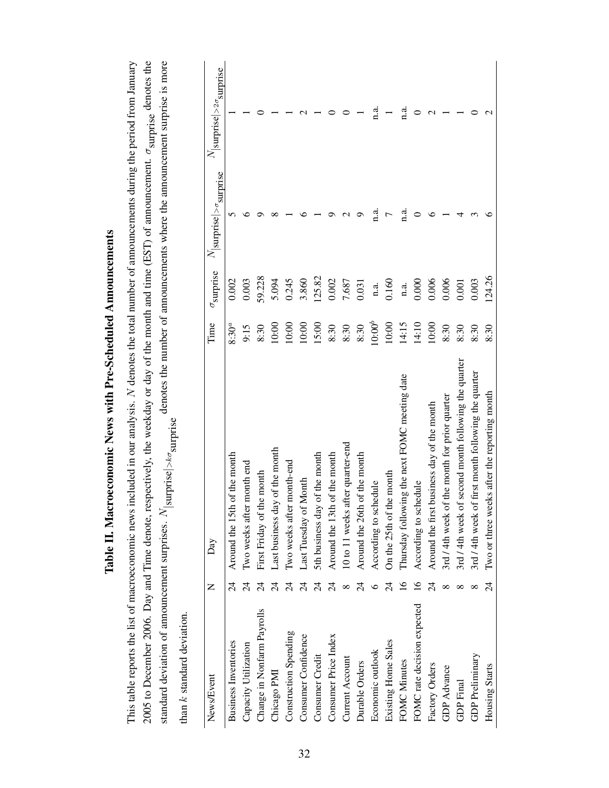| Table II. Macroeconomic News with Pre-Scheduled Announcements                                                                                                                                 |
|-----------------------------------------------------------------------------------------------------------------------------------------------------------------------------------------------|
| This table reports the list of macroeconomic news included in our analysis. N denotes the total number of announcements during the period from January                                        |
| 2005 to December 2006. Day and Time denote, respectively, the weekday or day of the month and time (EST) of announcement. $\sigma_{\text{surprise}}$ denotes the                              |
| denotes the number of announcements where the announcement surprise is more<br>$ {\rm surprise} {\bf \textit{>\normalsize}o}$<br>standard deviation of announcement surprises. N <sub>1</sub> |
|                                                                                                                                                                                               |

than  $k$  standard deviation. than k standard deviation.

| News/Event                  | Z              | Day                                                  | Time      | $\sigma$ surprise | $N_{\rm  surface >\sigma}$ surprise | $N$  surprise $\vert >$ 2 $\sigma$ <sub>surprise</sub> |
|-----------------------------|----------------|------------------------------------------------------|-----------|-------------------|-------------------------------------|--------------------------------------------------------|
| <b>Business Inventories</b> | $\overline{2}$ | Around the 15th of the month                         | $8:30^a$  | 0.002             |                                     |                                                        |
| Capacity Utilization        | $\overline{2}$ | month end<br>Two weeks after                         | 9:15      | 0.003             |                                     |                                                        |
| Change in Nonfarm Payrolls  |                | First Friday of the month                            | 8:30      | 59.228            |                                     |                                                        |
| Chicago PMI                 |                | Last business day of the month                       | 10:00     | 5.094             |                                     |                                                        |
| Construction Spending       |                | month-end<br>Iwo weeks after                         | 10:00     | 0.245             |                                     |                                                        |
| Consumer Confidence         |                | Last Tuesday of Month                                | 10:00     | 3.860             |                                     |                                                        |
| Consumer Credit             |                | 5th business day of the month                        | 15:00     | 125.82            |                                     |                                                        |
| Consumer Price Index        |                | of the month<br>Around the 13th                      | 8:30      | 0.002             |                                     |                                                        |
| <b>Current Account</b>      |                | 10 to 11 weeks after quarter-end                     | 8:30      | 7.687             |                                     |                                                        |
| Durable Orders              |                | of the month<br>Around the 26th                      | 8:30      | 0.031             |                                     |                                                        |
| Economic outlook            |                | According to schedule                                | $10:00^b$ | n.a.              | n.a                                 | a.<br>¤                                                |
| Existing Home Sales         |                | On the 25th of the month                             | $10:00$   | 0.160             |                                     |                                                        |
| FOMC Minutes                |                | Thursday following the next FOMC meeting date        | 14:15     | n.a.              | a.                                  | d.<br>¤                                                |
| FOMC rate decision expected |                | According to schedule                                | 14:10     | 0.000             |                                     |                                                        |
| Factory Orders              |                | Around the first business day of the month           | 10:00     | 0.006             |                                     |                                                        |
| <b>GDP</b> Advance          |                | 3rd / 4th week of the month for prior quarter        | 8:30      | 0.006             |                                     |                                                        |
| <b>GDP</b> Final            |                | 3rd / 4th week of second month following the quarter | 8:30      | 0.001             |                                     |                                                        |
| GDP Preliminary             |                | 3rd / 4th week of first month following the quarter  | 8:30      | 0.003             |                                     |                                                        |
| Housing Starts              | र्यु           | Two or three weeks after the reporting month         | 8:30      | 124.26            |                                     |                                                        |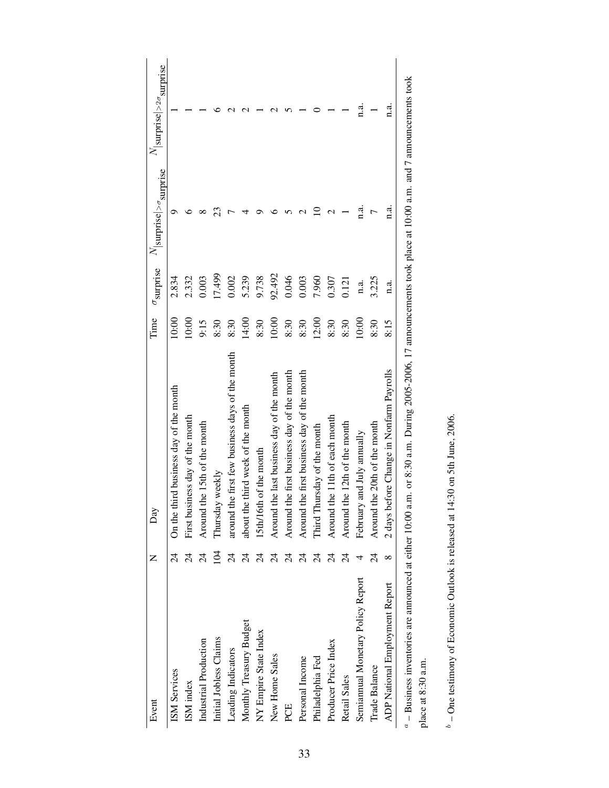| Event                             | Z                        | Day                                                                                                                                                                  | Time  | $\sigma$ surprise | $N_{\rm [surprise]>\sigma}\rm{surprise}$ | $N_{\rm  surface >2\sigma_{\rm{surprise}}}$ |
|-----------------------------------|--------------------------|----------------------------------------------------------------------------------------------------------------------------------------------------------------------|-------|-------------------|------------------------------------------|---------------------------------------------|
| ISM Services                      | 4<br>A                   | On the third business day of the month                                                                                                                               | 10:00 | 2.834             |                                          |                                             |
| ISM index                         |                          | First business day of the month                                                                                                                                      | 10:00 | 2.332             |                                          |                                             |
| Industrial Production             |                          | Around the 15th of the month                                                                                                                                         | 9:15  | 0.003             |                                          |                                             |
| Initial Jobless Claims            | $\overline{5}$           | weekly<br>Thursday                                                                                                                                                   | 8:30  | 17.499            | 23                                       |                                             |
| Leading Indicators                | र्य                      | around the first few business days of the month                                                                                                                      | 8:30  | 0.002             |                                          |                                             |
| Monthly Treasury Budget           | $\overline{\mathcal{A}}$ | third week of the month<br>about the                                                                                                                                 | 14:00 | 5.239             |                                          |                                             |
| NY Empire State Index             | $\overline{z}$           | of the month<br>15th/16th                                                                                                                                            | 8:30  | 9.738             |                                          |                                             |
| New Home Sales                    | $\overline{24}$          | Around the last business day of the month                                                                                                                            | 10:00 | 92.492            |                                          |                                             |
| PCE                               | $\overline{A}$           | Around the first business day of the month                                                                                                                           | 8:30  | 0.046             |                                          |                                             |
| Personal Income                   | 24                       | Around the first business day of the month                                                                                                                           | 8:30  | 0.003             |                                          |                                             |
| Philadelphia Fed                  | 24                       | Third Thursday of the month                                                                                                                                          | 12:00 | 7.960             |                                          |                                             |
| Producer Price Index              | 24                       | Around the 11th of each month                                                                                                                                        | 8:30  | 0.307             |                                          |                                             |
| Retail Sales                      | $\overline{A}$           | Around the 12th of the month                                                                                                                                         | 8:30  | 0.121             |                                          |                                             |
| Semiannual Monetary Policy Report |                          | and July annually<br>February                                                                                                                                        | 10:00 | n.a.              | a.<br>¤                                  | n.a.                                        |
| Trade Balance                     | 24                       | he 20th of the month<br>Around th                                                                                                                                    | 8:30  | 3.225             |                                          |                                             |
| ADP National Employment Report    | $\infty$                 | 2 days before Change in Nonfarm Payrolls                                                                                                                             | 8:15  | n.a.              | n.a.                                     | a.<br>E                                     |
|                                   |                          | $\alpha$ – Business inventories are announced at either 10:00 a.m. or 8:30 a.m. During 2005-2006, 17 announcements took place at 10:00 a.m. and 7 announcements took |       |                   |                                          |                                             |

| place at 8:30 a.m. |  |
|--------------------|--|

 $b$  – One testimony of Economic Outlook is released at 14:30 on 5th June, 2006.  $\degree$  – One testimony of Economic Outlook is released at 14:30 on 5th June, 2006.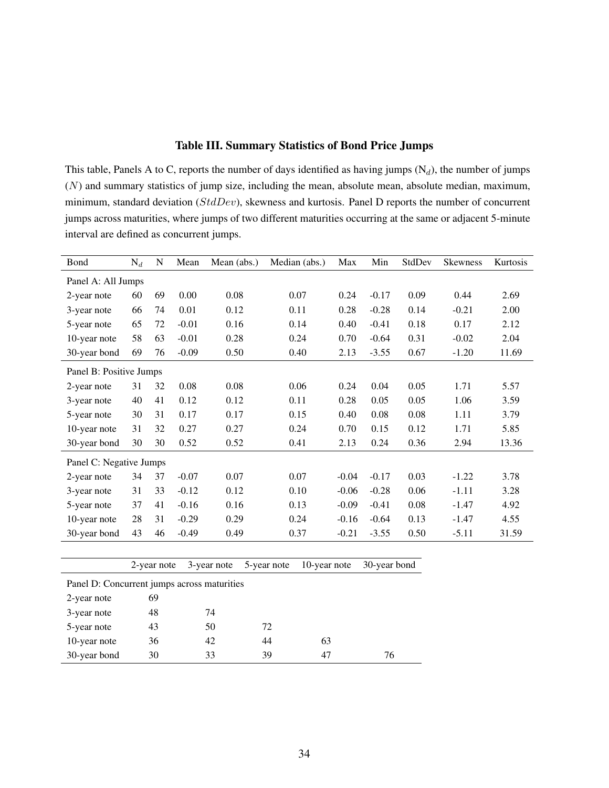#### Table III. Summary Statistics of Bond Price Jumps

This table, Panels A to C, reports the number of days identified as having jumps  $(N_d)$ , the number of jumps  $(N)$  and summary statistics of jump size, including the mean, absolute mean, absolute median, maximum, minimum, standard deviation (StdDev), skewness and kurtosis. Panel D reports the number of concurrent jumps across maturities, where jumps of two different maturities occurring at the same or adjacent 5-minute interval are defined as concurrent jumps.

| Bond                                        | $\mathrm{N}_d$ | $\mathbf N$ | Mean    | Mean (abs.) | Median (abs.)               | Max     | Min          | StdDev | <b>Skewness</b> | Kurtosis |
|---------------------------------------------|----------------|-------------|---------|-------------|-----------------------------|---------|--------------|--------|-----------------|----------|
| Panel A: All Jumps                          |                |             |         |             |                             |         |              |        |                 |          |
| 2-year note                                 | 60             | 69          | 0.00    | 0.08        | 0.07                        | 0.24    | $-0.17$      | 0.09   | 0.44            | 2.69     |
| 3-year note                                 | 66             | 74          | 0.01    | 0.12        | 0.11                        | 0.28    | $-0.28$      | 0.14   | $-0.21$         | 2.00     |
| 5-year note                                 | 65             | 72          | $-0.01$ | 0.16        | 0.14                        | 0.40    | $-0.41$      | 0.18   | 0.17            | 2.12     |
| 10-year note                                | 58             | 63          | $-0.01$ | 0.28        | 0.24                        | 0.70    | $-0.64$      | 0.31   | $-0.02$         | 2.04     |
| 30-year bond                                | 69             | 76          | $-0.09$ | 0.50        | 0.40                        | 2.13    | $-3.55$      | 0.67   | $-1.20$         | 11.69    |
| Panel B: Positive Jumps                     |                |             |         |             |                             |         |              |        |                 |          |
| 2-year note                                 | 31             | 32          | 0.08    | 0.08        | 0.06                        | 0.24    | 0.04         | 0.05   | 1.71            | 5.57     |
| 3-year note                                 | 40             | 41          | 0.12    | 0.12        | 0.11                        | 0.28    | 0.05         | 0.05   | 1.06            | 3.59     |
| 5-year note                                 | 30             | 31          | 0.17    | 0.17        | 0.15                        | 0.40    | 0.08         | 0.08   | 1.11            | 3.79     |
| 10-year note                                | 31             | 32          | 0.27    | 0.27        | 0.24                        | 0.70    | 0.15         | 0.12   | 1.71            | 5.85     |
| 30-year bond                                | 30             | 30          | 0.52    | 0.52        | 0.41                        | 2.13    | 0.24         | 0.36   | 2.94            | 13.36    |
| Panel C: Negative Jumps                     |                |             |         |             |                             |         |              |        |                 |          |
| 2-year note                                 | 34             | 37          | $-0.07$ | 0.07        | 0.07                        | $-0.04$ | $-0.17$      | 0.03   | $-1.22$         | 3.78     |
| 3-year note                                 | 31             | 33          | $-0.12$ | 0.12        | 0.10                        | $-0.06$ | $-0.28$      | 0.06   | $-1.11$         | 3.28     |
| 5-year note                                 | 37             | 41          | $-0.16$ | 0.16        | 0.13                        | $-0.09$ | $-0.41$      | 0.08   | $-1.47$         | 4.92     |
| 10-year note                                | 28             | 31          | $-0.29$ | 0.29        | 0.24                        | $-0.16$ | $-0.64$      | 0.13   | $-1.47$         | 4.55     |
| 30-year bond                                | 43             | 46          | $-0.49$ | 0.49        | 0.37                        | $-0.21$ | $-3.55$      | 0.50   | $-5.11$         | 31.59    |
|                                             |                |             |         |             |                             |         |              |        |                 |          |
|                                             |                | 2-year note |         | 3-year note | 5-year note<br>10-year note |         | 30-year bond |        |                 |          |
| Panel D: Concurrent jumps across maturities |                |             |         |             |                             |         |              |        |                 |          |
| 2-year note                                 |                | 69          |         |             |                             |         |              |        |                 |          |
| 3-year note                                 |                | 48          |         | 74          |                             |         |              |        |                 |          |
| 5-year note                                 |                | 43          |         | 50          | 72                          |         |              |        |                 |          |
| 10-year note                                |                | 36          |         | 42          | 44<br>63                    |         |              |        |                 |          |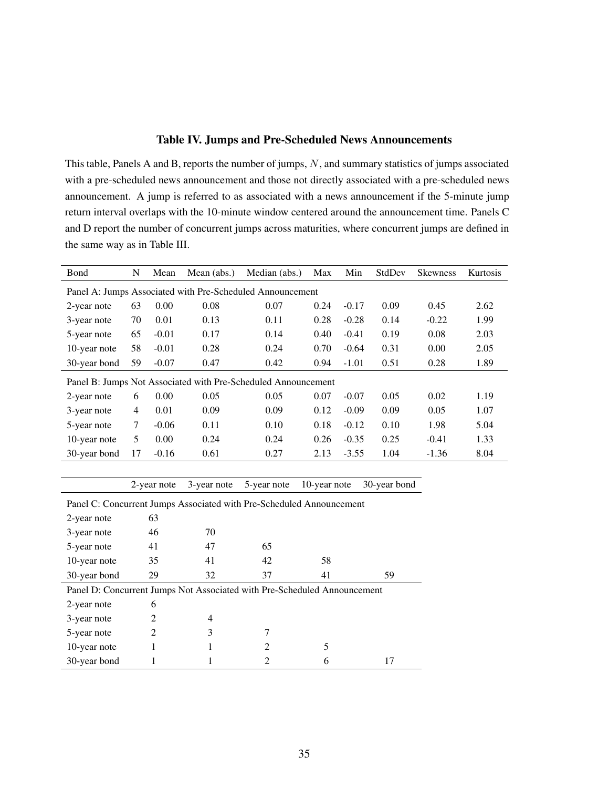#### Table IV. Jumps and Pre-Scheduled News Announcements

This table, Panels A and B, reports the number of jumps, N, and summary statistics of jumps associated with a pre-scheduled news announcement and those not directly associated with a pre-scheduled news announcement. A jump is referred to as associated with a news announcement if the 5-minute jump return interval overlaps with the 10-minute window centered around the announcement time. Panels C and D report the number of concurrent jumps across maturities, where concurrent jumps are defined in the same way as in Table III.

| Bond         | N  | Mean    | Mean (abs.) | Median (abs.)                                                 | Max  | Min     | StdDev | <b>Skewness</b> | Kurtosis |
|--------------|----|---------|-------------|---------------------------------------------------------------|------|---------|--------|-----------------|----------|
|              |    |         |             | Panel A: Jumps Associated with Pre-Scheduled Announcement     |      |         |        |                 |          |
| 2-year note  | 63 | 0.00    | 0.08        | 0.07                                                          | 0.24 | $-0.17$ | 0.09   | 0.45            | 2.62     |
| 3-year note  | 70 | 0.01    | 0.13        | 0.11                                                          | 0.28 | $-0.28$ | 0.14   | $-0.22$         | 1.99     |
| 5-year note  | 65 | $-0.01$ | 0.17        | 0.14                                                          | 0.40 | $-0.41$ | 0.19   | 0.08            | 2.03     |
| 10-year note | 58 | $-0.01$ | 0.28        | 0.24                                                          | 0.70 | $-0.64$ | 0.31   | 0.00            | 2.05     |
| 30-year bond | 59 | $-0.07$ | 0.47        | 0.42                                                          | 0.94 | $-1.01$ | 0.51   | 0.28            | 1.89     |
|              |    |         |             | Panel B: Jumps Not Associated with Pre-Scheduled Announcement |      |         |        |                 |          |
| 2-year note  | 6  | 0.00    | 0.05        | 0.05                                                          | 0.07 | $-0.07$ | 0.05   | 0.02            | 1.19     |
| 3-year note  | 4  | 0.01    | 0.09        | 0.09                                                          | 0.12 | $-0.09$ | 0.09   | 0.05            | 1.07     |
| 5-year note  | 7  | $-0.06$ | 0.11        | 0.10                                                          | 0.18 | $-0.12$ | 0.10   | 1.98            | 5.04     |
| 10-year note | 5  | 0.00    | 0.24        | 0.24                                                          | 0.26 | $-0.35$ | 0.25   | $-0.41$         | 1.33     |
| 30-year bond | 17 | $-0.16$ | 0.61        | 0.27                                                          | 2.13 | $-3.55$ | 1.04   | $-1.36$         | 8.04     |

2-year note 3-year note 5-year note 10-year note 30-year bond

|                                                                          | Panel C: Concurrent Jumps Associated with Pre-Scheduled Announcement |    |    |    |    |  |  |  |  |  |  |  |
|--------------------------------------------------------------------------|----------------------------------------------------------------------|----|----|----|----|--|--|--|--|--|--|--|
| 2-year note                                                              | 63                                                                   |    |    |    |    |  |  |  |  |  |  |  |
| 3-year note                                                              | 46                                                                   | 70 |    |    |    |  |  |  |  |  |  |  |
| 5-year note                                                              | 41                                                                   | 47 | 65 |    |    |  |  |  |  |  |  |  |
| 10-year note                                                             | 35                                                                   | 41 | 42 | 58 |    |  |  |  |  |  |  |  |
| 30-year bond                                                             | 29                                                                   | 32 | 37 | 41 | 59 |  |  |  |  |  |  |  |
| Panel D: Concurrent Jumps Not Associated with Pre-Scheduled Announcement |                                                                      |    |    |    |    |  |  |  |  |  |  |  |
|                                                                          |                                                                      |    |    |    |    |  |  |  |  |  |  |  |
| 2-year note                                                              | 6                                                                    |    |    |    |    |  |  |  |  |  |  |  |
| 3-year note                                                              | 2                                                                    | 4  |    |    |    |  |  |  |  |  |  |  |
| 5-year note                                                              | 2                                                                    | 3  |    |    |    |  |  |  |  |  |  |  |
| 10-year note                                                             |                                                                      |    | 2  | 5  |    |  |  |  |  |  |  |  |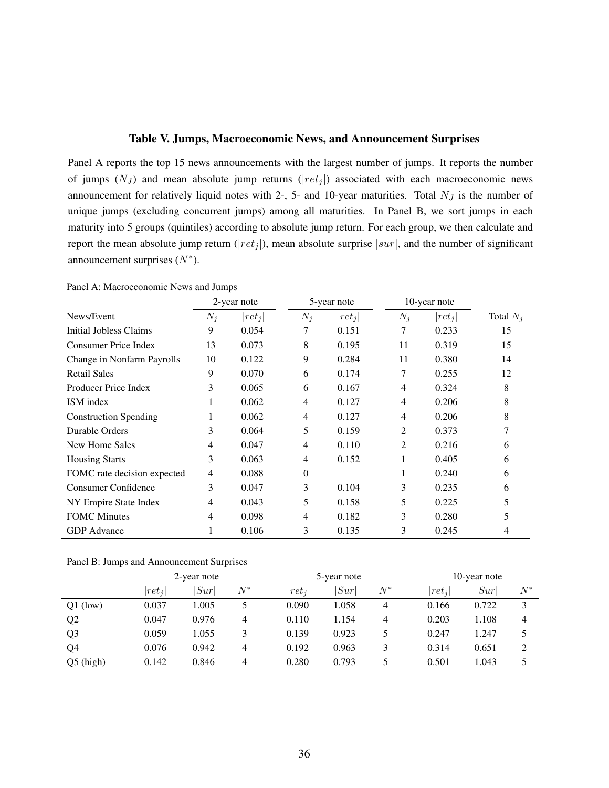#### Table V. Jumps, Macroeconomic News, and Announcement Surprises

Panel A reports the top 15 news announcements with the largest number of jumps. It reports the number of jumps  $(N_J)$  and mean absolute jump returns  $(|ret_j|)$  associated with each macroeconomic news announcement for relatively liquid notes with 2-, 5- and 10-year maturities. Total  $N_J$  is the number of unique jumps (excluding concurrent jumps) among all maturities. In Panel B, we sort jumps in each maturity into 5 groups (quintiles) according to absolute jump return. For each group, we then calculate and report the mean absolute jump return ( $|ret_j|$ ), mean absolute surprise  $|sur|$ , and the number of significant announcement surprises  $(N^*)$ .

|                              |       | 2-year note |                | 5-year note |                | 10-year note |             |
|------------------------------|-------|-------------|----------------|-------------|----------------|--------------|-------------|
| News/Event                   | $N_j$ | $ ret_i $   | $N_i$          | $ ret_i $   | $N_i$          | $ ret_i $    | Total $N_i$ |
| Initial Jobless Claims       | 9     | 0.054       | 7              | 0.151       | 7              | 0.233        | 15          |
| Consumer Price Index         | 13    | 0.073       | 8              | 0.195       | 11             | 0.319        | 15          |
| Change in Nonfarm Payrolls   | 10    | 0.122       | 9              | 0.284       | 11             | 0.380        | 14          |
| <b>Retail Sales</b>          | 9     | 0.070       | 6              | 0.174       | 7              | 0.255        | 12          |
| Producer Price Index         | 3     | 0.065       | 6              | 0.167       | 4              | 0.324        | 8           |
| ISM index                    |       | 0.062       | 4              | 0.127       | 4              | 0.206        | 8           |
| <b>Construction Spending</b> |       | 0.062       | $\overline{4}$ | 0.127       | 4              | 0.206        | 8           |
| Durable Orders               | 3     | 0.064       | 5              | 0.159       | 2              | 0.373        |             |
| New Home Sales               | 4     | 0.047       | 4              | 0.110       | $\overline{c}$ | 0.216        | 6           |
| <b>Housing Starts</b>        | 3     | 0.063       | 4              | 0.152       |                | 0.405        | 6           |
| FOMC rate decision expected  | 4     | 0.088       | $\Omega$       |             | 1              | 0.240        | 6           |
| <b>Consumer Confidence</b>   | 3     | 0.047       | 3              | 0.104       | 3              | 0.235        | 6           |
| NY Empire State Index        | 4     | 0.043       | 5              | 0.158       | 5              | 0.225        | 5           |
| <b>FOMC</b> Minutes          | 4     | 0.098       | 4              | 0.182       | 3              | 0.280        | 5           |
| <b>GDP</b> Advance           |       | 0.106       | 3              | 0.135       | 3              | 0.245        | 4           |

Panel A: Macroeconomic News and Jumps

Panel B: Jumps and Announcement Surprises

|                |           | 2-year note |       |           | 5-year note |       |           | 10-year note |       |
|----------------|-----------|-------------|-------|-----------|-------------|-------|-----------|--------------|-------|
|                | $ ret_i $ | Sur         | $N^*$ | $ ret_j $ | Sur         | $N^*$ | $ ret_i $ | Sur          | $N^*$ |
| $Q1$ (low)     | 0.037     | 1.005       |       | 0.090     | 1.058       | 4     | 0.166     | 0.722        | 3     |
| Q2             | 0.047     | 0.976       | 4     | 0.110     | 1.154       | 4     | 0.203     | 1.108        | 4     |
| Q <sub>3</sub> | 0.059     | 1.055       | 3     | 0.139     | 0.923       | 5     | 0.247     | 1.247        |       |
| Q4             | 0.076     | 0.942       | 4     | 0.192     | 0.963       | 3     | 0.314     | 0.651        | ∍     |
| $Q5$ (high)    | 0.142     | 0.846       | 4     | 0.280     | 0.793       |       | 0.501     | 1.043        |       |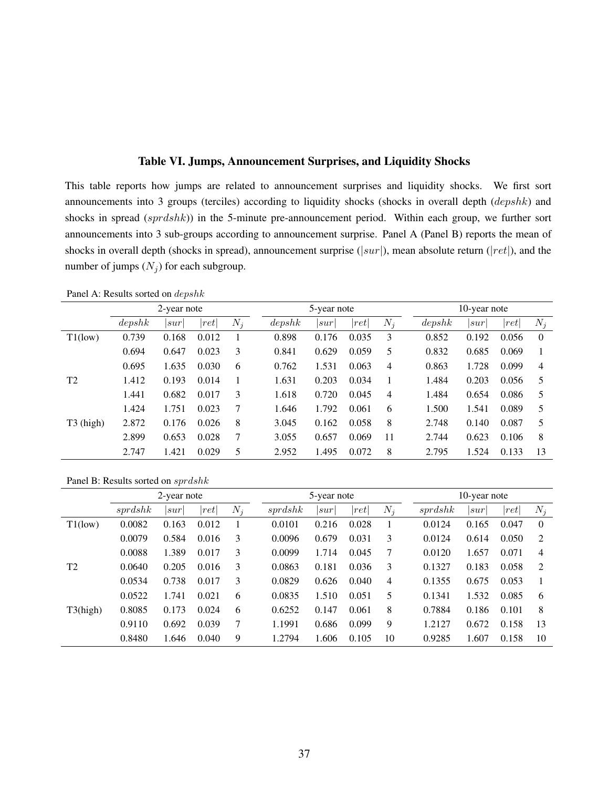#### Table VI. Jumps, Announcement Surprises, and Liquidity Shocks

This table reports how jumps are related to announcement surprises and liquidity shocks. We first sort announcements into 3 groups (terciles) according to liquidity shocks (shocks in overall depth (depshk) and shocks in spread (sprdshk)) in the 5-minute pre-announcement period. Within each group, we further sort announcements into 3 sub-groups according to announcement surprise. Panel A (Panel B) reports the mean of shocks in overall depth (shocks in spread), announcement surprise ( $|sur|$ ), mean absolute return ( $|ret|$ ), and the number of jumps  $(N_i)$  for each subgroup.

Panel A: Results sorted on depshk

|                |        | 2-year note |       |       |        | 5-year note |                 |                |        | 10-year note |       |                |
|----------------|--------|-------------|-------|-------|--------|-------------|-----------------|----------------|--------|--------------|-------|----------------|
|                | depshk | sur         | ret   | $N_i$ | depshk | sur         | $^{\prime}$ ret | $N_i$          | depshk | sur          | ret   | $N_i$          |
| $T1$ (low)     | 0.739  | 0.168       | 0.012 |       | 0.898  | 0.176       | 0.035           | 3              | 0.852  | 0.192        | 0.056 | $\Omega$       |
|                | 0.694  | 0.647       | 0.023 | 3     | 0.841  | 0.629       | 0.059           | 5              | 0.832  | 0.685        | 0.069 |                |
|                | 0.695  | 1.635       | 0.030 | 6     | 0.762  | 1.531       | 0.063           | $\overline{4}$ | 0.863  | 1.728        | 0.099 | $\overline{4}$ |
| T <sub>2</sub> | 1.412  | 0.193       | 0.014 |       | 1.631  | 0.203       | 0.034           |                | 1.484  | 0.203        | 0.056 | 5              |
|                | 1.441  | 0.682       | 0.017 | 3     | 1.618  | 0.720       | 0.045           | 4              | 1.484  | 0.654        | 0.086 | 5              |
|                | 1.424  | 1.751       | 0.023 | 7     | 1.646  | 1.792       | 0.061           | 6              | 1.500  | 1.541        | 0.089 | 5              |
| T3 (high)      | 2.872  | 0.176       | 0.026 | 8     | 3.045  | 0.162       | 0.058           | 8              | 2.748  | 0.140        | 0.087 | 5              |
|                | 2.899  | 0.653       | 0.028 | 7     | 3.055  | 0.657       | 0.069           | 11             | 2.744  | 0.623        | 0.106 | 8              |
|                | 2.747  | 1.421       | 0.029 | 5     | 2.952  | 1.495       | 0.072           | 8              | 2.795  | 1.524        | 0.133 | 13             |

Panel B: Results sorted on sprdshk

|                |         | 2-year note |                      |       |         | 5-year note |       |                |         | 10-year note |                 |          |
|----------------|---------|-------------|----------------------|-------|---------|-------------|-------|----------------|---------|--------------|-----------------|----------|
|                | sprdshk | sur         | $\left  ret \right $ | $N_i$ | sprdshk | sur         | ret   | $N_i$          | sprdshk | sur          | $^{\prime}$ ret | $N_j$    |
| $T1$ (low)     | 0.0082  | 0.163       | 0.012                |       | 0.0101  | 0.216       | 0.028 |                | 0.0124  | 0.165        | 0.047           | $\theta$ |
|                | 0.0079  | 0.584       | 0.016                | 3     | 0.0096  | 0.679       | 0.031 | 3              | 0.0124  | 0.614        | 0.050           | 2        |
|                | 0.0088  | 1.389       | 0.017                | 3     | 0.0099  | 1.714       | 0.045 | 7              | 0.0120  | 1.657        | 0.071           | 4        |
| T <sub>2</sub> | 0.0640  | 0.205       | 0.016                | 3     | 0.0863  | 0.181       | 0.036 | 3              | 0.1327  | 0.183        | 0.058           | 2        |
|                | 0.0534  | 0.738       | 0.017                | 3     | 0.0829  | 0.626       | 0.040 | $\overline{4}$ | 0.1355  | 0.675        | 0.053           |          |
|                | 0.0522  | 1.741       | 0.021                | 6     | 0.0835  | 1.510       | 0.051 | 5              | 0.1341  | 1.532        | 0.085           | 6        |
| T3(high)       | 0.8085  | 0.173       | 0.024                | 6     | 0.6252  | 0.147       | 0.061 | 8              | 0.7884  | 0.186        | 0.101           | 8        |
|                | 0.9110  | 0.692       | 0.039                | 7     | 1.1991  | 0.686       | 0.099 | 9              | 1.2127  | 0.672        | 0.158           | 13       |
|                | 0.8480  | 1.646       | 0.040                | 9     | 1.2794  | 1.606       | 0.105 | 10             | 0.9285  | 1.607        | 0.158           | 10       |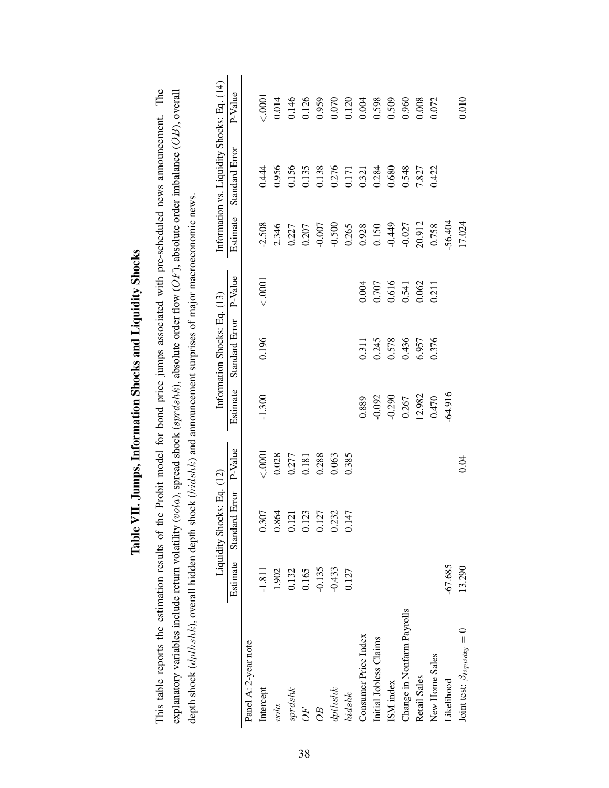| This table reports the estimation results of the Probit model for bond price jumps associated with pre-scheduled news announcement. The          |           |                            |         |           |                              |         |          |                                            |         |
|--------------------------------------------------------------------------------------------------------------------------------------------------|-----------|----------------------------|---------|-----------|------------------------------|---------|----------|--------------------------------------------|---------|
| explanatory variables include return volatility (vola), spread shock (sprdshk), absolute order flow (OF), absolute order imbalance (OB), overall |           |                            |         |           |                              |         |          |                                            |         |
| depth shock ( <i>dpthshk</i> ), overall hidden depth shock ( <i>hidshk</i> ) and announcement surprises of major macroeconomic news.             |           |                            |         |           |                              |         |          |                                            |         |
|                                                                                                                                                  |           | Liquidity Shocks: Eq. (12) |         |           | Information Shocks: Eq. (13) |         |          | Information vs. Liquidity Shocks: Eq. (14) |         |
|                                                                                                                                                  | Estimate  | l Error<br>Standard        | P-Value | Estimate  | Standard Error               | P-Value | Estimate | Standard Error                             | P-Value |
| Panel A: 2-year note                                                                                                                             |           |                            |         |           |                              |         |          |                                            |         |
| Intercept                                                                                                                                        | $-1.811$  | 0.307                      | 0001    | $-1.300$  | 0.196                        | 0001    | $-2.508$ | 0.444                                      | 0000    |
| vola                                                                                                                                             | 1.902     | 0.864                      | 0.028   |           |                              |         | 2.346    | 0.956                                      | 0.014   |
| sprdshk                                                                                                                                          | 0.132     | 0.121                      | 0.277   |           |                              |         | 0.227    | 0.156                                      | 0.146   |
| $O$ F                                                                                                                                            | 0.165     | 0.123                      | 0.181   |           |                              |         | 0.207    | 0.135                                      | 0.126   |
| $\overline{OB}$                                                                                                                                  | $-0.135$  | 0.127                      | 0.288   |           |                              |         | $-0.007$ | 0.138                                      | 0.959   |
| dphshk                                                                                                                                           | $-0.433$  | 0.232                      | 0.063   |           |                              |         | $-0.500$ | 0.276                                      | 0.070   |
| hidshk                                                                                                                                           | 0.127     | 0.147                      | 0.385   |           |                              |         | 0.265    | 0.171                                      | 0.120   |
| Consumer Price Index                                                                                                                             |           |                            |         | 0.889     | 0.311                        | 0.004   | 0.928    | 0.321                                      | 0.004   |
| Initial Jobless Claims                                                                                                                           |           |                            |         | $-0.092$  | 0.245                        | 0.707   | 0.150    | 0.284                                      | 0.598   |
| ISM index                                                                                                                                        |           |                            |         | $-0.290$  | 0.578                        | 0.616   | $-0.449$ | 0.680                                      | 0.509   |
| Change in Nonfarm Payrolls                                                                                                                       |           |                            |         | 0.267     | 0.436                        | 0.541   | $-0.027$ | 0.548                                      | 0.960   |
| Retail Sales                                                                                                                                     |           |                            |         | 12.982    | 6.957                        | 0.062   | 20.912   | 7.827                                      | 0.008   |
| New Home Sales                                                                                                                                   |           |                            |         | 0.470     | 0.376                        | 0.211   | 0.758    | 0.422                                      | 0.072   |
| Likelihood                                                                                                                                       | $-67.685$ |                            |         | $-64.916$ |                              |         | 56.404   |                                            |         |
| Joint test: $\beta_{liquidty} = 0$                                                                                                               | 13.290    |                            | 9.04    |           |                              |         | 17.024   |                                            | 0.010   |

# Table VII. Jumps, Information Shocks and Liquidity Shocks Table VII. Jumps, Information Shocks and Liquidity Shocks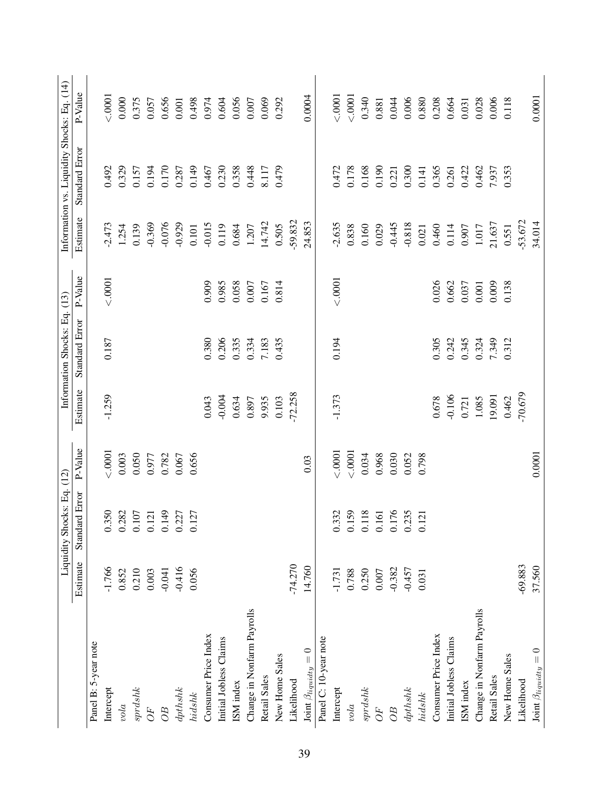|                                     |           | Liquidity Shocks: Eq. (12)       |         |           | Information Shocks: Eq. (13) |           |           | Information vs. Liquidity Shocks: Eq. (14) |           |
|-------------------------------------|-----------|----------------------------------|---------|-----------|------------------------------|-----------|-----------|--------------------------------------------|-----------|
|                                     | Estimate  | Standard Error                   | P-Value | Estimate  | Standard Error               | P-Value   | Estimate  | Standard Error                             | P-Value   |
| Panel B: 5-year note                |           |                                  |         |           |                              |           |           |                                            |           |
| Intercept                           | $-1.766$  | 0.350                            | 0001    | $-1.259$  | 0.187                        | < .0001   | 2.473     | 0.492                                      | 0001      |
| vola                                | 0.852     | 0.282                            | 0.003   |           |                              |           | 1.254     | 0.329                                      | 0.000     |
| sprdshk                             | 0.210     | 0.107                            | 0.050   |           |                              |           | 0.139     | 0.157                                      | 0.375     |
| $O\hspace{-0.1cm}F$                 | 0.003     | 0.121                            | 0.977   |           |                              |           | $-0.369$  | 0.194                                      | 0.057     |
| 0 <sub>B</sub>                      | $-0.041$  | 0.149                            | 0.782   |           |                              |           | $-0.076$  | 0.170                                      | 0.656     |
| dphshk                              | $-0.416$  | $0.227$<br>$0.127$               | 0.067   |           |                              |           | $-0.929$  | 0.287                                      | $0.001\,$ |
| hidshk                              | 0.056     |                                  | 0.656   |           |                              |           | 0.101     | 0.149                                      | 0.498     |
| Consumer Price Index                |           |                                  |         | 0.043     | 0.380                        | 0.909     | $-0.015$  | 0.467                                      | 0.974     |
| Initial Jobless Claims              |           |                                  |         | $-0.004$  | 0.206                        | 0.985     | 0.119     | 0.230                                      | 0.604     |
| ISM index                           |           |                                  |         | 0.634     | 0.335                        | 0.058     | 0.684     | 0.358                                      | 0.056     |
| Change in Nonfarm Payrolls          |           |                                  |         | 0.897     | 0.334                        | $0.007$   | 1.207     | 0.448                                      | $0.007$   |
| Retail Sales                        |           |                                  |         | 9.935     | 7.183                        | 0.167     | 14.742    | 8.117                                      | 0.069     |
| New Home Sales                      |           |                                  |         | 0.103     | 0.435                        | 0.814     | 0.505     | 0.479                                      | 0.292     |
| Likelihood                          | $-74.270$ |                                  |         | $-72.258$ |                              |           | -59.832   |                                            |           |
| <b>Joint</b> $\beta_{liquidty} = 0$ | 14.760    |                                  | 0.03    |           |                              |           | 24.853    |                                            | 0.0004    |
| Panel C: 10-year note               |           |                                  |         |           |                              |           |           |                                            |           |
| Intercept                           | $-1.731$  | 0.332                            | 0001    | $-1.373$  | 0.194                        | < .0001   | 2.635     | 0.472                                      | 0001      |
| vola                                | 0.788     | 0.159                            | < .0001 |           |                              |           | 0.838     | 0.178                                      | 0001      |
| sprds                               | 0.250     | 0.118                            | 0.034   |           |                              |           | 0.160     | 0.168                                      | 0.340     |
| $O$ F                               | $0.007\,$ | $\overline{6}$<br>$\overline{c}$ | 0.968   |           |                              |           | 0.029     | 0.190                                      | 0.881     |
| $\overline{OB}$                     | $-0.382$  |                                  | 0.030   |           |                              |           | $-0.445$  | 0.221                                      | 0.044     |
| dphshk                              | $-0.457$  | 0.176<br>0.235                   | 0.052   |           |                              |           | $-0.818$  | 0.300                                      | 0.006     |
| $hidshk$                            | 0.031     | $\overline{c}$<br>$\overline{0}$ | 0.798   |           |                              |           | 0.021     | 0.141                                      | 0.880     |
| Consumer Price Index                |           |                                  |         | 0.678     | 0.305                        | 0.026     | 0.460     | 0.365                                      | 0.208     |
| Initial Jobless Claims              |           |                                  |         | $-0.106$  | 0.242                        | 0.662     | 0.114     | 0.261                                      | 0.664     |
| ISM index                           |           |                                  |         | 0.721     | 0.345                        | 0.037     | 0.907     | 0.422                                      | 0.031     |
| Change in Nonfarm Payrolls          |           |                                  |         | 1.085     | 0.324                        | $0.001\,$ | $1.017\,$ | 0.462                                      | 0.028     |
| <b>Retail Sales</b>                 |           |                                  |         | 19.091    | 7.349                        | 0.009     | 21.637    | 7.937                                      | 0.006     |
| New Home Sales                      |           |                                  |         | 0.462     | 0.312                        | 0.138     | 0.551     | 0.353                                      | 0.118     |
| Likelihood                          | $-69.883$ |                                  |         | $-70.679$ |                              |           | $-53.672$ |                                            |           |
| <b>Joint</b> $\beta_{liquidty}=0$   | 37.560    |                                  | 0.0001  |           |                              |           | 34.014    |                                            | 0.0001    |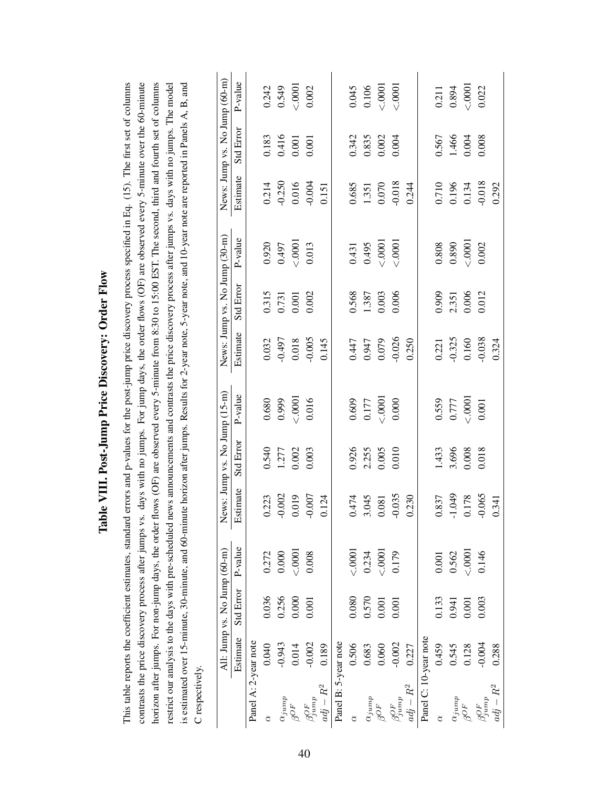|                       |          |                              | contrasts the price discovery process after jumps vs. |          |                               | days with no jumps. For jump days, the order flows (OF) are observed every 5-minute over the 60-minute<br>horizon after jumps. For non-jump days, the order flows (OF) are observed every 5-minute from 8:30 to 15:00 EST. The second, third and fourth set of columns |          |                               |         |          |                               |         |
|-----------------------|----------|------------------------------|-------------------------------------------------------|----------|-------------------------------|------------------------------------------------------------------------------------------------------------------------------------------------------------------------------------------------------------------------------------------------------------------------|----------|-------------------------------|---------|----------|-------------------------------|---------|
|                       |          |                              |                                                       |          |                               | restrict our analysis to the days with pre-scheduled news announcements and contrasts the price discovery process after jumps vs. days with no jumps. The model                                                                                                        |          |                               |         |          |                               |         |
|                       |          |                              |                                                       |          |                               | is estimated over 15-minute, 30-minute, and 60-minute horizon after jumps. Results for 2-year note, 5-year note, and 10-year note are reported in Panels A, B, and                                                                                                     |          |                               |         |          |                               |         |
| C respectively.       |          |                              |                                                       |          |                               |                                                                                                                                                                                                                                                                        |          |                               |         |          |                               |         |
|                       |          | All: Jump vs. No Jump (60-m) |                                                       |          | News: Jump vs. No Jump (15-m) |                                                                                                                                                                                                                                                                        |          | News: Jump vs. No Jump (30-m) |         |          | News: Jump vs. No Jump (60-m) |         |
|                       | Estimate | <b>Std Error</b>             | P-value                                               | Estimate | Std Error                     | P-value                                                                                                                                                                                                                                                                | Estimate | Std Error                     | P-value | Estimate | Std Error                     | P-value |
| Panel A: 2-year note  |          |                              |                                                       |          |                               |                                                                                                                                                                                                                                                                        |          |                               |         |          |                               |         |
|                       | 0.040    | 0.036                        | 0.272                                                 | 0.223    | 0.540                         | 0.680                                                                                                                                                                                                                                                                  | 0.032    | 0.315                         | 0.920   | 0.214    | 0.183                         | 0.242   |
| $\alpha_{jump}$       | $-0.943$ | 0.256                        | 0.000                                                 | $-0.002$ | 1.277                         | 0.999                                                                                                                                                                                                                                                                  | $-0.497$ | 0.731                         | 0.497   | $-0.250$ | 0.416                         | 0.549   |
| $\beta^{OF}$          | 0.014    | 0.000                        | < .0001                                               | 0.019    | 0.002                         | 0001                                                                                                                                                                                                                                                                   | 0.018    | 0.001                         | 0001    | 0.016    | 0.001                         | < .0001 |
| $\beta_{jump}^{OF}$   | $-0.002$ | 0.001                        | 0.008                                                 | 0.007    | 0.003                         | 0.016                                                                                                                                                                                                                                                                  | $-0.005$ | 0.002                         | 0.013   | $-0.004$ | 0.001                         | 0.002   |
| $adj-R^2$             | 0.189    |                              |                                                       | 0.124    |                               |                                                                                                                                                                                                                                                                        | 0.145    |                               |         | 0.151    |                               |         |
| Panel B: 5-year note  |          |                              |                                                       |          |                               |                                                                                                                                                                                                                                                                        |          |                               |         |          |                               |         |
|                       | 0.506    | 0.080                        | 0001                                                  | 0.474    | 0.926                         | 0.609                                                                                                                                                                                                                                                                  | 0.447    | 0.568                         | 0.431   | 0.685    | 0.342                         | 0.045   |
| $\alpha_{jump}$       | 0.683    | 0.570                        | 0.234                                                 | 3.045    | 2.255                         | 0.177                                                                                                                                                                                                                                                                  | 0.947    | 1.387                         | 0.495   | 1.351    | 0.835                         | 0.106   |
| $\beta^{OF}$          | 0.060    | 0.001                        | < .0001                                               | 0.081    | 0.005                         | 000000000000                                                                                                                                                                                                                                                           | 0.079    | 0.003                         | 0001    | 0.070    | 0.002                         | 0001    |
| $\beta_{jump}^{OF}$   | $-0.002$ | 0.001                        | 0.179                                                 | $-0.035$ | 0.010                         | 0.000                                                                                                                                                                                                                                                                  | $-0.026$ | 0.006                         | 0001    | $-0.018$ | 0.004                         | < .0001 |
| $adj-R^2$             | 0.227    |                              |                                                       | 0.230    |                               |                                                                                                                                                                                                                                                                        | 0.250    |                               |         | 0.244    |                               |         |
| Panel C: 10-year note |          |                              |                                                       |          |                               |                                                                                                                                                                                                                                                                        |          |                               |         |          |                               |         |
|                       | 0.459    | 0.133                        | $0.001\,$                                             | 0.837    | 1.433                         | 0.559                                                                                                                                                                                                                                                                  | 0.221    | 0.909                         | 0.808   | 0.710    | 0.567                         | 0.211   |
| $\alpha_{jump}$       | 0.545    | 0.941                        | 0.562                                                 | 0.1049   | 3.696                         | 0.777                                                                                                                                                                                                                                                                  | $-0.325$ | 2.351                         | 0.890   | 0.196    | 1.466                         | 0.894   |
| $\beta^{OF}$          | 0.128    | 0.001                        | 00000000000                                           | 0.178    | 0.008                         | 0001                                                                                                                                                                                                                                                                   | 0.160    | 0.006                         | 0001    | 0.134    | 0.004                         | 0001    |
| $\beta_{jump}^{OF}$   | $-0.004$ | 0.003                        | 0.146                                                 | $-0.065$ | 0.018                         | 0.001                                                                                                                                                                                                                                                                  | $-0.038$ | 0.012                         | 0.002   | $-0.018$ | 0.008                         | 0.022   |
| $R^2$<br>$adj -$      | 0.288    |                              |                                                       | 0.341    |                               |                                                                                                                                                                                                                                                                        | 0.324    |                               |         | 0.292    |                               |         |

# Table VIII. Post-Jump Price Discovery: Order Flow Table VIII. Post-Jump Price Discovery: Order Flow

This table reports the coefficient estimates, standard errors and p-values for the post-jump price discovery process specified in Eq. (15). The first set of columns

This table reports the coefficient estimates, standard errors and p-values for the post-jump price discovery process specified in Eq. (15). The first set of columns

40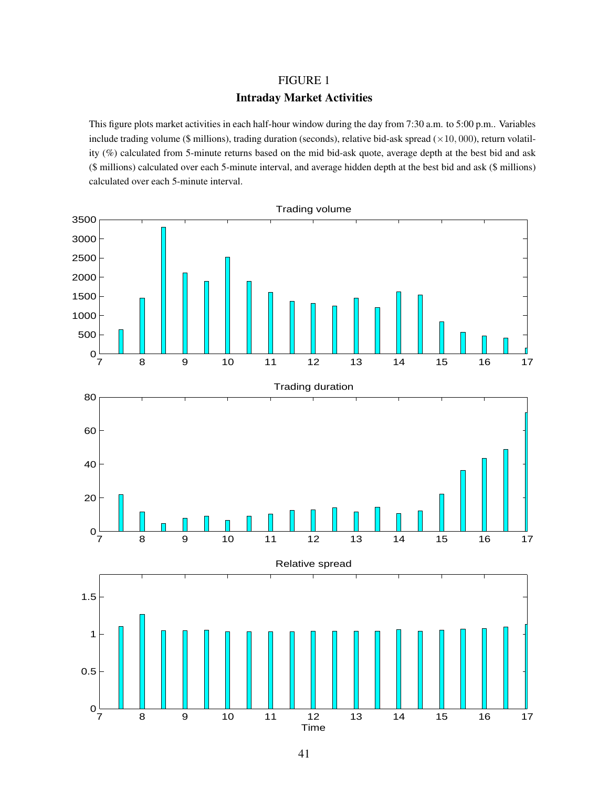# FIGURE 1 Intraday Market Activities

This figure plots market activities in each half-hour window during the day from 7:30 a.m. to 5:00 p.m.. Variables include trading volume (\$ millions), trading duration (seconds), relative bid-ask spread  $(\times 10, 000)$ , return volatility (%) calculated from 5-minute returns based on the mid bid-ask quote, average depth at the best bid and ask (\$ millions) calculated over each 5-minute interval, and average hidden depth at the best bid and ask (\$ millions) calculated over each 5-minute interval.

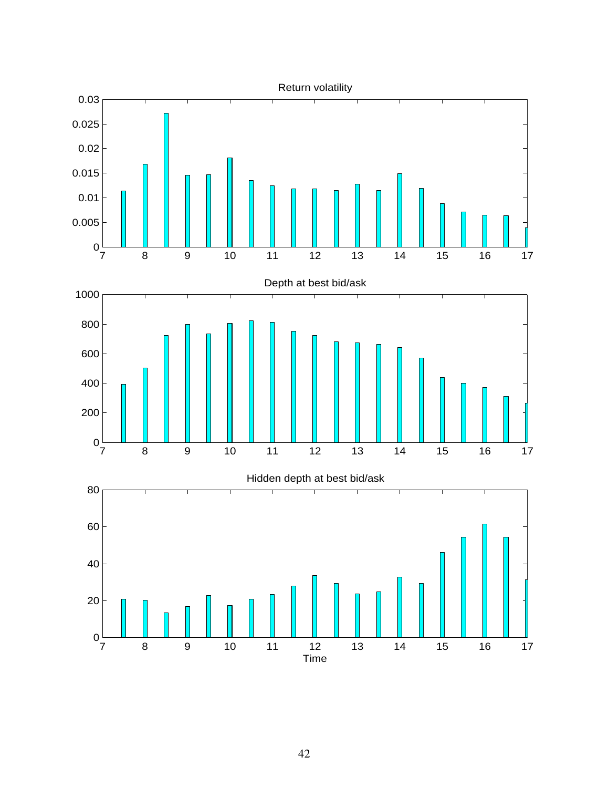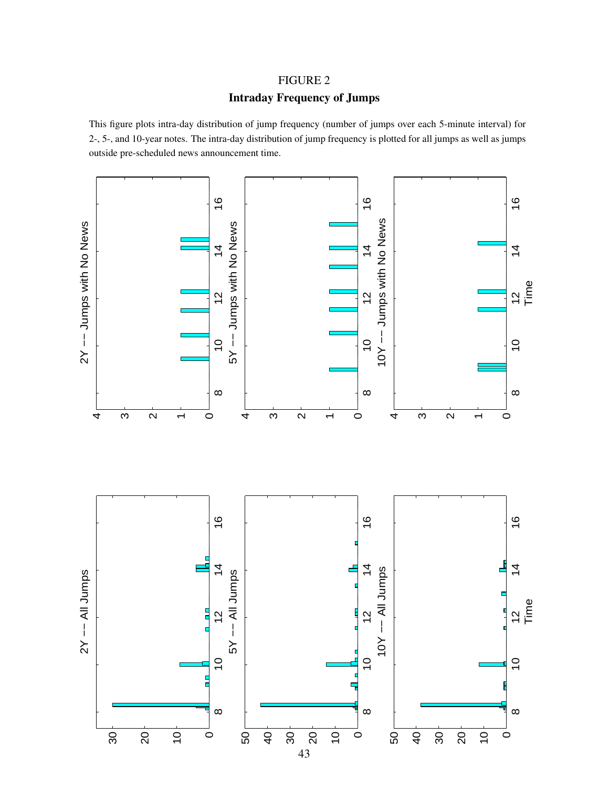# FIGURE 2

# Intraday Frequency of Jumps

This figure plots intra-day distribution of jump frequency (number of jumps over each 5-minute interval) for 2-, 5-, and 10-year notes. The intra-day distribution of jump frequency is plotted for all jumps as well as jumps outside pre-scheduled news announcement time.

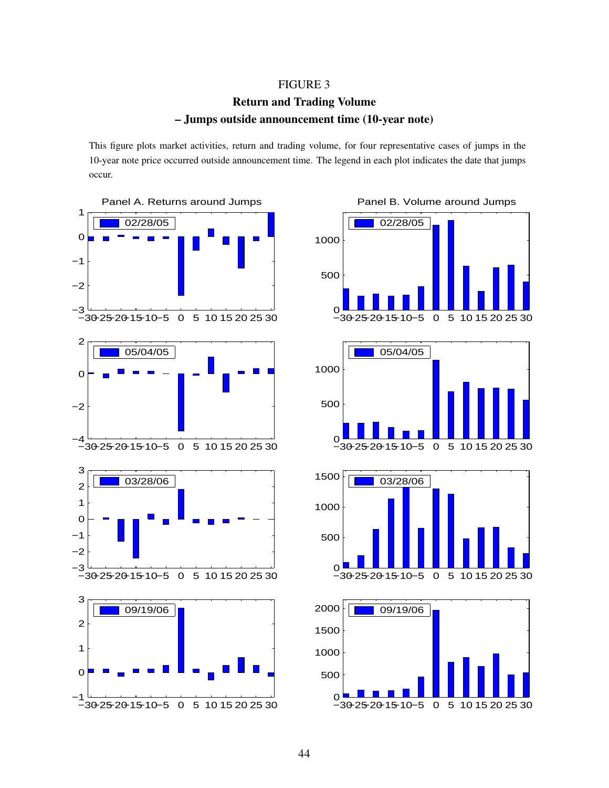#### FIGURE 3

# Return and Trading Volume – Jumps outside announcement time (10-year note)

This figure plots market activities, return and trading volume, for four representative cases of jumps in the 10-year note price occurred outside announcement time. The legend in each plot indicates the date that jumps occur.





44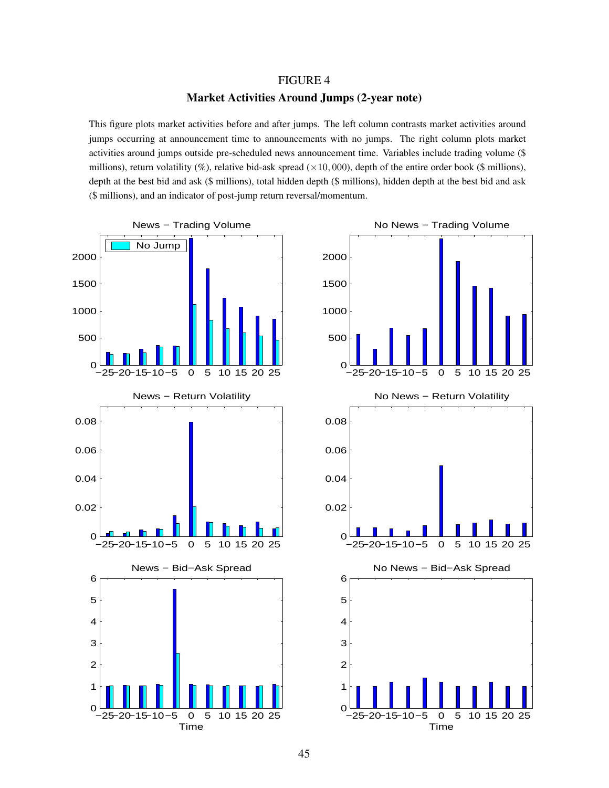#### FIGURE 4

#### Market Activities Around Jumps (2-year note)

This figure plots market activities before and after jumps. The left column contrasts market activities around jumps occurring at announcement time to announcements with no jumps. The right column plots market activities around jumps outside pre-scheduled news announcement time. Variables include trading volume (\$ millions), return volatility (%), relative bid-ask spread ( $\times$ 10, 000), depth of the entire order book (\$ millions), depth at the best bid and ask (\$ millions), total hidden depth (\$ millions), hidden depth at the best bid and ask (\$ millions), and an indicator of post-jump return reversal/momentum.